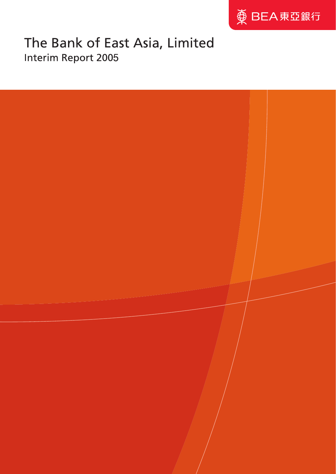

# The Bank of East Asia, Limited Interim Report 2005

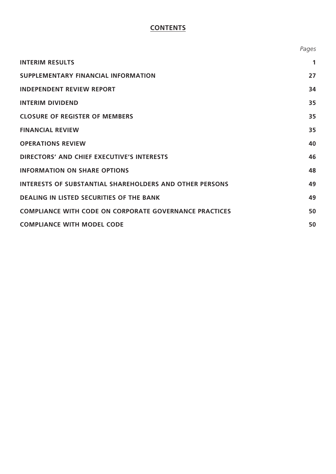# **CONTENTS**

|                                                                | Pages       |
|----------------------------------------------------------------|-------------|
| <b>INTERIM RESULTS</b>                                         | $\mathbf 1$ |
| <b>SUPPLEMENTARY FINANCIAL INFORMATION</b>                     | 27          |
| <b>INDEPENDENT REVIEW REPORT</b>                               | 34          |
| <b>INTERIM DIVIDEND</b>                                        | 35          |
| <b>CLOSURE OF REGISTER OF MEMBERS</b>                          | 35          |
| <b>FINANCIAL REVIEW</b>                                        | 35          |
| <b>OPERATIONS REVIEW</b>                                       | 40          |
| <b>DIRECTORS' AND CHIEF EXECUTIVE'S INTERESTS</b>              | 46          |
| <b>INFORMATION ON SHARE OPTIONS</b>                            | 48          |
| <b>INTERESTS OF SUBSTANTIAL SHAREHOLDERS AND OTHER PERSONS</b> | 49          |
| <b>DEALING IN LISTED SECURITIES OF THE BANK</b>                | 49          |
| <b>COMPLIANCE WITH CODE ON CORPORATE GOVERNANCE PRACTICES</b>  | 50          |
| <b>COMPLIANCE WITH MODEL CODE</b>                              | 50          |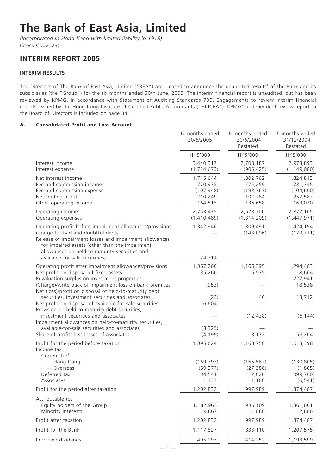# **The Bank of East Asia, Limited**

*(Incorporated in Hong Kong with limited liability in 1918)* (Stock Code: 23)

# **INTERIM REPORT 2005**

# **INTERIM RESULTS**

The Directors of The Bank of East Asia, Limited ("BEA") are pleased to announce the unaudited results<sup>1</sup> of the Bank and its subsidiaries (the "Group") for the six months ended 30th June, 2005. The interim financial report is unaudited, but has been reviewed by KPMG, in accordance with Statement of Auditing Standards 700, Engagements to review interim financial reports, issued by the Hong Kong Institute of Certified Public Accountants ("HKICPA"). KPMG's independent review report to the Board of Directors is included on page 34.

# **A. Consolidated Profit and Loss Account**

|                                                                                                                                                                                                                                                            | 6 months ended<br>30/6/2005                              | 6 months ended<br>30/6/2004<br>Restated                  | 6 months ended<br>31/12/2004<br>Restated                 |
|------------------------------------------------------------------------------------------------------------------------------------------------------------------------------------------------------------------------------------------------------------|----------------------------------------------------------|----------------------------------------------------------|----------------------------------------------------------|
|                                                                                                                                                                                                                                                            | HK\$'000                                                 | HK\$'000                                                 | HK\$'000                                                 |
| Interest income<br>Interest expense                                                                                                                                                                                                                        | 3,440,317<br>(1, 724, 673)                               | 2,708,187<br>(905, 425)                                  | 2,973,893<br>(1, 149, 080)                               |
| Net interest income<br>Fee and commission income<br>Fee and commission expense<br>Net trading profits<br>Other operating income                                                                                                                            | 1,715,644<br>770,975<br>(107, 948)<br>210,249<br>164,515 | 1,802,762<br>775,259<br>(193, 763)<br>102,784<br>136,658 | 1,824,813<br>731,345<br>(104, 600)<br>257,587<br>163,020 |
| Operating income<br>Operating expenses                                                                                                                                                                                                                     | 2,753,435<br>(1,410,489)                                 | 2,623,700<br>(1,314,209)                                 | 2,872,165<br>(1,447,971)                                 |
| Operating profit before impairment allowances/provisions<br>Charge for bad and doubtful debts<br>Release of impairment losses and impairment allowances<br>for impaired assets (other than the impairment<br>allowances on held-to-maturity securities and | 1,342,946                                                | 1,309,491<br>(143,096)                                   | 1,424,194<br>(129, 711)                                  |
| available-for-sale securities)                                                                                                                                                                                                                             | 24,314                                                   |                                                          |                                                          |
| Operating profit after impairment allowances/provisions<br>Net profit on disposal of fixed assets                                                                                                                                                          | 1,367,260<br>35,260                                      | 1,166,395<br>6,575                                       | 1,294,483<br>8,664                                       |
| Revaluation surplus on investment properties<br>(Charge)/write back of impairment loss on bank premises<br>Net (loss)/profit on disposal of held-to-maturity debt                                                                                          | (953)                                                    |                                                          | 227,941<br>18,538                                        |
| securities, investment securities and associates<br>Net profit on disposal of available-for-sale securities<br>Provision on held-to-maturity debt securities,                                                                                              | (23)<br>6,604                                            | 46                                                       | 13,712                                                   |
| investment securities and associates<br>Impairment allowances on held-to-maturity securities,<br>available-for-sale securities and associates                                                                                                              | (8, 325)                                                 | (12, 438)                                                | (6, 144)                                                 |
| Share of profits less losses of associates                                                                                                                                                                                                                 | (4, 199)                                                 | 8,172                                                    | 56,204                                                   |
| Profit for the period before taxation<br>Income tax<br>Current tax <sup>5</sup>                                                                                                                                                                            | 1,395,624                                                | 1,168,750                                                | 1,613,398                                                |
| - Hong Kong<br>— Overseas<br>Deferred tax<br>Associates                                                                                                                                                                                                    | (169, 393)<br>(59, 377)<br>34,541<br>1,437               | (166, 567)<br>(27, 380)<br>12,026<br>11,160              | (130, 805)<br>(1,805)<br>(99, 760)<br>(6, 541)           |
| Profit for the period after taxation                                                                                                                                                                                                                       | 1,202,832                                                | 997,989                                                  | 1,374,487                                                |
| Attributable to:<br>Equity holders of the Group<br>Minority interests                                                                                                                                                                                      | 1,182,965<br>19,867                                      | 986,109<br>11,880                                        | 1,361,601<br>12,886                                      |
| Profit after taxation                                                                                                                                                                                                                                      | 1,202,832                                                | 997,989                                                  | 1,374,487                                                |
| Profit for the Bank                                                                                                                                                                                                                                        | 1,117,827                                                | 833,110                                                  | 1,207,575                                                |
| Proposed dividends                                                                                                                                                                                                                                         | 495,997                                                  | 414,252                                                  | 1,193,599                                                |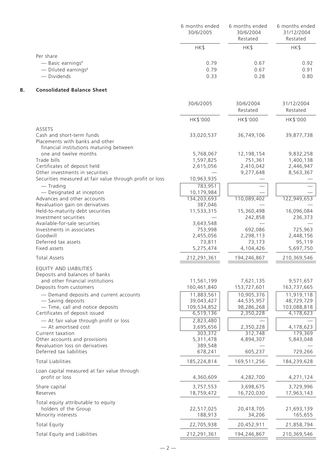|                                   | 6 months ended<br>30/6/2005 | 6 months ended<br>30/6/2004<br>Restated | 6 months ended<br>31/12/2004<br>Restated |
|-----------------------------------|-----------------------------|-----------------------------------------|------------------------------------------|
|                                   | HK\$                        | HK\$                                    | HK\$                                     |
| Per share                         |                             |                                         |                                          |
| $-$ Basic earnings <sup>6</sup>   | 0.79                        | 0.67                                    | 0.92                                     |
| $-$ Diluted earnings <sup>6</sup> | 0.79                        | 0.67                                    | 0.91                                     |
| — Dividends                       | 0.33                        | 0.28                                    | 0.80                                     |

# **B. Consolidated Balance Sheet**

|                                                                                                         | 30/6/2005                | 30/6/2004<br>Restated   | 31/12/2004<br>Restated   |
|---------------------------------------------------------------------------------------------------------|--------------------------|-------------------------|--------------------------|
|                                                                                                         | HK\$'000                 | HK\$'000                | HK\$'000                 |
| <b>ASSETS</b>                                                                                           |                          |                         |                          |
| Cash and short-term funds<br>Placements with banks and other<br>financial institutions maturing between | 33,020,537               | 36,749,106              | 39,877,738               |
| one and twelve months                                                                                   | 5,768,067                | 12,198,154              | 9,832,258                |
| Trade bills                                                                                             | 1,597,825                | 751,361                 | 1,400,138                |
| Certificates of deposit held                                                                            | 2,615,056                | 2,410,042               | 2,446,947                |
| Other investments in securities                                                                         |                          | 9,277,648               | 8,563,367                |
| Securities measured at fair value through profit or loss                                                | 10,963,935               |                         |                          |
| $-$ Trading                                                                                             | 783,951                  |                         |                          |
| - Designated at inception                                                                               | 10,179,984               |                         |                          |
| Advances and other accounts                                                                             | 134,203,693              | 110,089,402             | 122,949,653              |
| Revaluation gain on derivatives                                                                         | 387,046                  |                         |                          |
| Held-to-maturity debt securities                                                                        | 11,533,315               | 15,360,498              | 16,096,084               |
| Investment securities                                                                                   |                          | 242,858                 | 236,373                  |
| Available-for-sale securities                                                                           | 3,643,548                |                         |                          |
| Investments in associates                                                                               | 753,998                  | 692,086                 | 725,963                  |
| Goodwill                                                                                                | 2,455,056                | 2,298,113<br>73,173     | 2,448,156                |
| Deferred tax assets<br>Fixed assets                                                                     | 73,811<br>5,275,474      | 4,104,426               | 95,119<br>5,697,750      |
|                                                                                                         |                          |                         |                          |
| <b>Total Assets</b>                                                                                     | 212,291,361              | 194,246,867             | 210,369,546              |
| EQUITY AND LIABILITIES                                                                                  |                          |                         |                          |
| Deposits and balances of banks                                                                          |                          |                         |                          |
| and other financial institutions                                                                        | 11,561,199               | 7,621,135               | 9,571,657                |
| Deposits from customers                                                                                 | 160,461,840              | 153,727,601             | 163,737,665              |
| - Demand deposits and current accounts                                                                  | 11,883,561               | 10,905,376              | 11,919,118               |
| - Saving deposits                                                                                       | 39,043,427               | 44,535,957              | 48,729,729               |
| - Time, call and notice deposits<br>Certificates of deposit issued                                      | 109,534,852<br>6,519,136 | 98,286,268<br>2,350,228 | 103,088,818<br>4,178,623 |
|                                                                                                         |                          |                         |                          |
| - At fair value through profit or loss                                                                  | 2,823,480                |                         |                          |
| - At amortised cost<br>Current taxation                                                                 | 3,695,656<br>303,372     | 2,350,228<br>312,748    | 4,178,623<br>179,369     |
| Other accounts and provisions                                                                           | 5,311,478                | 4,894,307               | 5,843,048                |
| Revaluation loss on derivatives                                                                         | 389,548                  |                         |                          |
| Deferred tax liabilities                                                                                | 678,241                  | 605,237                 | 729,266                  |
| <b>Total Liabilities</b>                                                                                | 185,224,814              | 169,511,256             | 184,239,628              |
| Loan capital measured at fair value through                                                             |                          |                         |                          |
| profit or loss                                                                                          | 4,360,609                | 4,282,700               | 4,271,124                |
| Share capital                                                                                           | 3,757,553                | 3,698,675               | 3,729,996                |
| Reserves                                                                                                | 18,759,472               | 16,720,030              | 17,963,143               |
| Total equity attributable to equity                                                                     |                          |                         |                          |
| holders of the Group                                                                                    | 22,517,025               | 20,418,705              | 21,693,139               |
| Minority interests                                                                                      | 188,913                  | 34,206                  | 165,655                  |
| <b>Total Equity</b>                                                                                     | 22,705,938               | 20,452,911              | 21,858,794               |
| Total Equity and Liabilities                                                                            | 212,291,361              | 194,246,867             | 210,369,546              |
|                                                                                                         |                          |                         |                          |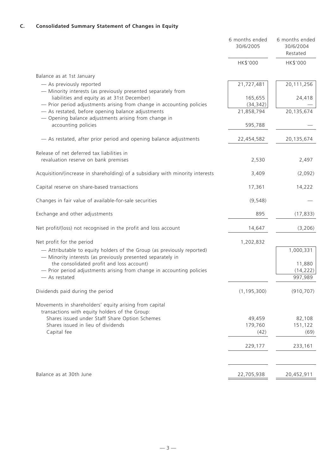|                                                                                                                                       | 6 months ended<br>30/6/2005 | 6 months ended<br>30/6/2004<br>Restated |
|---------------------------------------------------------------------------------------------------------------------------------------|-----------------------------|-----------------------------------------|
|                                                                                                                                       | HK\$'000                    | HK\$'000                                |
| Balance as at 1st January                                                                                                             |                             |                                         |
| - As previously reported                                                                                                              | 21,727,481                  | 20,111,256                              |
| - Minority interests (as previously presented separately from<br>liabilities and equity as at 31st December)                          | 165,655                     | 24,418                                  |
| - Prior period adjustments arising from change in accounting policies                                                                 | (34, 342)                   |                                         |
| - As restated, before opening balance adjustments<br>- Opening balance adjustments arising from change in                             | 21,858,794                  | 20,135,674                              |
| accounting policies                                                                                                                   | 595,788                     |                                         |
| - As restated, after prior period and opening balance adjustments                                                                     | 22,454,582                  | 20,135,674                              |
| Release of net deferred tax liabilities in                                                                                            |                             |                                         |
| revaluation reserve on bank premises                                                                                                  | 2,530                       | 2,497                                   |
| Acquisition/(increase in shareholding) of a subsidiary with minority interests                                                        | 3,409                       | (2,092)                                 |
| Capital reserve on share-based transactions                                                                                           | 17,361                      | 14,222                                  |
| Changes in fair value of available-for-sale securities                                                                                | (9, 548)                    |                                         |
| Exchange and other adjustments                                                                                                        | 895                         | (17, 833)                               |
| Net profit/(loss) not recognised in the profit and loss account                                                                       | 14,647                      | (3,206)                                 |
| Net profit for the period                                                                                                             | 1,202,832                   |                                         |
| - Attributable to equity holders of the Group (as previously reported)<br>- Minority interests (as previously presented separately in |                             | 1,000,331                               |
| the consolidated profit and loss account)                                                                                             |                             | 11,880                                  |
| - Prior period adjustments arising from change in accounting policies                                                                 |                             | (14, 222)                               |
| - As restated                                                                                                                         |                             | 997,989                                 |
| Dividends paid during the period                                                                                                      | (1, 195, 300)               | (910, 707)                              |
| Movements in shareholders' equity arising from capital                                                                                |                             |                                         |
| transactions with equity holders of the Group:                                                                                        |                             |                                         |
| Shares issued under Staff Share Option Schemes<br>Shares issued in lieu of dividends                                                  | 49,459<br>179,760           | 82,108<br>151,122                       |
| Capital fee                                                                                                                           | (42)                        | (69)                                    |
|                                                                                                                                       | 229,177                     | 233,161                                 |
|                                                                                                                                       |                             |                                         |
| Balance as at 30th June                                                                                                               | 22,705,938                  | 20,452,911                              |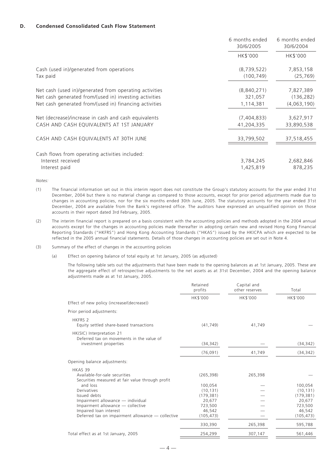#### **D. Condensed Consolidated Cash Flow Statement**

|                                                                                                                                                                            | 6 months ended<br>30/6/2005         | 6 months ended<br>30/6/2004            |
|----------------------------------------------------------------------------------------------------------------------------------------------------------------------------|-------------------------------------|----------------------------------------|
|                                                                                                                                                                            | HK\$'000                            | HK\$'000                               |
| Cash (used in)/generated from operations<br>Tax paid                                                                                                                       | (8,739,522)<br>(100, 749)           | 7,853,158<br>(25, 769)                 |
| Net cash (used in)/generated from operating activities<br>Net cash generated from/(used in) investing activities<br>Net cash generated from/(used in) financing activities | (8,840,271)<br>321,057<br>1,114,381 | 7,827,389<br>(136, 282)<br>(4,063,190) |
| Net (decrease)/increase in cash and cash equivalents<br>CASH AND CASH EQUIVALENTS AT 1ST JANUARY                                                                           | (7,404,833)<br>41,204,335           | 3,627,917<br>33,890,538                |
| CASH AND CASH EQUIVALENTS AT 30TH JUNE                                                                                                                                     | 33,799,502                          | 37,518,455                             |
| Cash flows from operating activities included:<br>Interest received<br>Interest paid                                                                                       | 3,784,245<br>1,425,819              | 2,682,846<br>878,235                   |

*Notes:*

- (1) The financial information set out in this interim report does not constitute the Group's statutory accounts for the year ended 31st December, 2004 but there is no material change as compared to those accounts, except for prior period adjustments made due to changes in accounting policies, nor for the six months ended 30th June, 2005. The statutory accounts for the year ended 31st December, 2004 are available from the Bank's registered office. The auditors have expressed an unqualified opinion on those accounts in their report dated 3rd February, 2005.
- (2) The interim financial report is prepared on a basis consistent with the accounting policies and methods adopted in the 2004 annual accounts except for the changes in accounting policies made thereafter in adopting certain new and revised Hong Kong Financial Reporting Standards ("HKFRS") and Hong Kong Accounting Standards ("HKAS") issued by the HKICPA which are expected to be reflected in the 2005 annual financial statements. Details of those changes in accounting policies are set out in Note 4.
- (3) Summary of the effect of changes in the accounting policies
	- (a) Effect on opening balance of total equity at 1st January, 2005 (as adjusted)

The following table sets out the adjustments that have been made to the opening balances as at 1st January, 2005. These are the aggregate effect of retrospective adjustments to the net assets as at 31st December, 2004 and the opening balance adjustments made as at 1st January, 2005.

|                                                                                                                                                       | Retained<br>profits                       | Capital and<br>other reserves | Total                                     |
|-------------------------------------------------------------------------------------------------------------------------------------------------------|-------------------------------------------|-------------------------------|-------------------------------------------|
| Effect of new policy (increase/(decrease))                                                                                                            | HK\$'000                                  | HK\$'000                      | HK\$'000                                  |
| Prior period adjustments:                                                                                                                             |                                           |                               |                                           |
| <b>HKFRS 2</b><br>Equity settled share-based transactions                                                                                             | (41, 749)                                 | 41,749                        |                                           |
| HK(SIC) Interpretation 21<br>Deferred tax on movements in the value of<br>investment properties                                                       | (34, 342)                                 |                               | (34, 342)                                 |
|                                                                                                                                                       | (76,091)                                  | 41,749                        | (34, 342)                                 |
| Opening balance adjustments:                                                                                                                          |                                           |                               |                                           |
| HKAS 39<br>Available-for-sale securities<br>Securities measured at fair value through profit                                                          | (265, 398)                                | 265,398                       |                                           |
| and loss<br>Derivatives<br>Issued debts                                                                                                               | 100,054<br>(10, 131)<br>(179, 381)        |                               | 100,054<br>(10, 131)<br>(179, 381)        |
| Impairment allowance — individual<br>Impairment allowance - collective<br>Impaired loan interest<br>Deferred tax on impairment allowance - collective | 20,677<br>723,500<br>46.542<br>(105, 473) |                               | 20,677<br>723,500<br>46,542<br>(105, 473) |
|                                                                                                                                                       | 330,390                                   | 265,398                       | 595,788                                   |
| Total effect as at 1st January, 2005                                                                                                                  | 254,299                                   | 307,147                       | 561,446                                   |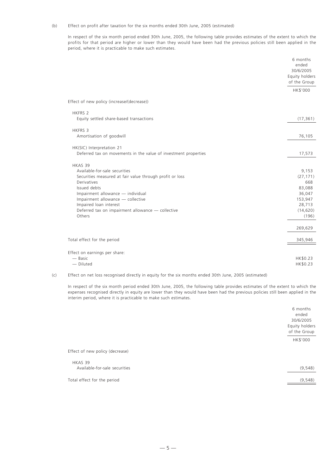#### (b) Effect on profit after taxation for the six months ended 30th June, 2005 (estimated)

In respect of the six month period ended 30th June, 2005, the following table provides estimates of the extent to which the profits for that period are higher or lower than they would have been had the previous policies still been applied in the period, where it is practicable to make such estimates.

|                                                                 | 6 months<br>ended<br>30/6/2005<br>Equity holders<br>of the Group |
|-----------------------------------------------------------------|------------------------------------------------------------------|
|                                                                 | HK\$'000                                                         |
| Effect of new policy (increase/(decrease))                      |                                                                  |
| <b>HKFRS 2</b>                                                  |                                                                  |
| Equity settled share-based transactions                         | (17, 361)                                                        |
| <b>HKFRS 3</b>                                                  |                                                                  |
| Amortisation of goodwill                                        | 76,105                                                           |
| HK(SIC) Interpretation 21                                       |                                                                  |
| Deferred tax on movements in the value of investment properties | 17,573                                                           |
| HKAS 39                                                         |                                                                  |
| Available-for-sale securities                                   | 9,153                                                            |
| Securities measured at fair value through profit or loss        | (27, 171)                                                        |
| <b>Derivatives</b>                                              | 668                                                              |
| Issued debts                                                    | 83,088                                                           |
| Impairment allowance - individual                               | 36,047                                                           |
| Impairment allowance - collective                               | 153,947                                                          |
| Impaired loan interest                                          | 28,713                                                           |
| Deferred tax on impairment allowance - collective               | (14, 620)                                                        |
| Others                                                          | (196)                                                            |
|                                                                 | 269,629                                                          |
| Total effect for the period                                     | 345,946                                                          |
| Effect on earnings per share:                                   |                                                                  |
| — Basic                                                         | HK\$0.23                                                         |
| - Diluted                                                       | HK\$0.23                                                         |
|                                                                 |                                                                  |

(c) Effect on net loss recognised directly in equity for the six months ended 30th June, 2005 (estimated)

In respect of the six month period ended 30th June, 2005, the following table provides estimates of the extent to which the expenses recognised directly in equity are lower than they would have been had the previous policies still been applied in the interim period, where it is practicable to make such estimates.

|                                          | 6 months<br>ended<br>30/6/2005<br>Equity holders<br>of the Group |
|------------------------------------------|------------------------------------------------------------------|
|                                          | HK\$'000                                                         |
| Effect of new policy (decrease)          |                                                                  |
| HKAS 39<br>Available-for-sale securities | (9, 548)                                                         |
| Total effect for the period              | (9, 548)                                                         |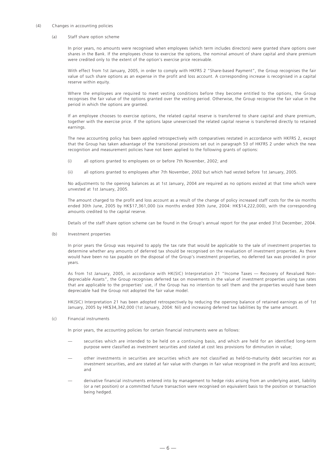#### (4) Changes in accounting policies

#### (a) Staff share option scheme

In prior years, no amounts were recognised when employees (which term includes directors) were granted share options over shares in the Bank. If the employees chose to exercise the options, the nominal amount of share capital and share premium were credited only to the extent of the option's exercise price receivable.

With effect from 1st January, 2005, in order to comply with HKFRS 2 "Share-based Payment", the Group recognises the fair value of such share options as an expense in the profit and loss account. A corresponding increase is recognised in a capital reserve within equity.

Where the employees are required to meet vesting conditions before they become entitled to the options, the Group recognises the fair value of the options granted over the vesting period. Otherwise, the Group recognise the fair value in the period in which the options are granted.

If an employee chooses to exercise options, the related capital reserve is transferred to share capital and share premium, together with the exercise price. If the options lapse unexercised the related capital reserve is transferred directly to retained earnings.

The new accounting policy has been applied retrospectively with comparatives restated in accordance with HKFRS 2, except that the Group has taken advantage of the transitional provisions set out in paragraph 53 of HKFRS 2 under which the new recognition and measurement policies have not been applied to the following grants of options:

- (i) all options granted to employees on or before 7th November, 2002; and
- (ii) all options granted to employees after 7th November, 2002 but which had vested before 1st January, 2005.

No adjustments to the opening balances as at 1st January, 2004 are required as no options existed at that time which were unvested at 1st January, 2005.

The amount charged to the profit and loss account as a result of the change of policy increased staff costs for the six months ended 30th June, 2005 by HK\$17,361,000 (six months ended 30th June, 2004: HK\$14,222,000), with the corresponding amounts credited to the capital reserve.

Details of the staff share option scheme can be found in the Group's annual report for the year ended 31st December, 2004.

(b) Investment properties

In prior years the Group was required to apply the tax rate that would be applicable to the sale of investment properties to determine whether any amounts of deferred tax should be recognised on the revaluation of investment properties. As there would have been no tax payable on the disposal of the Group's investment properties, no deferred tax was provided in prior years.

As from 1st January, 2005, in accordance with HK(SIC) Interpretation 21 "Income Taxes — Recovery of Revalued Nondepreciable Assets", the Group recognises deferred tax on movements in the value of investment properties using tax rates that are applicable to the properties' use, if the Group has no intention to sell them and the properties would have been depreciable had the Group not adopted the fair value model.

HK(SIC) Interpretation 21 has been adopted retrospectively by reducing the opening balance of retained earnings as of 1st January, 2005 by HK\$34,342,000 (1st January, 2004: Nil) and increasing deferred tax liabilities by the same amount.

(c) Financial instruments

In prior years, the accounting policies for certain financial instruments were as follows:

- securities which are intended to be held on a continuing basis, and which are held for an identified long-term purpose were classified as investment securities and stated at cost less provisions for diminution in value;
- other investments in securities are securities which are not classified as held-to-maturity debt securities nor as investment securities, and are stated at fair value with changes in fair value recognised in the profit and loss account; and
- derivative financial instruments entered into by management to hedge risks arising from an underlying asset, liability (or a net position) or a committed future transaction were recognised on equivalent basis to the position or transaction being hedged.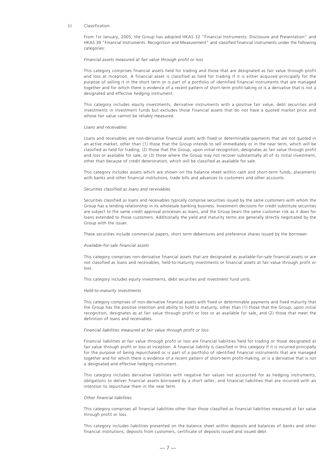#### (i) Classification

From 1st January, 2005, the Group has adopted HKAS 32 "Financial Instruments: Disclosure and Presentation" and HKAS 39 "Financial Instruments: Recognition and Measurement" and classified financial instruments under the following categories:

#### *Financial assets measured at fair value through profit or loss*

This category comprises financial assets held for trading and those that are designated as fair value through profit and loss at inception. A financial asset is classified as held for trading if it is either acquired principally for the purpose of selling it in the short term or is part of a portfolio of identified financial instruments that are managed together and for which there is evidence of a recent pattern of short-term profit-taking or is a derivative that is not a designated and effective hedging instrument.

This category includes equity investments, derivative instruments with a positive fair value, debt securities and investments in investment funds but excludes those financial assets that do not have a quoted market price and whose fair value cannot be reliably measured.

#### *Loans and receivables*

Loans and receivables are non-derivative financial assets with fixed or determinable payments that are not quoted in an active market, other than (1) those that the Group intends to sell immediately or in the near term, which will be classified as held for trading, (2) those that the Group, upon initial recognition, designates as fair value through profit and loss or available for sale, or (3) those where the Group may not recover substantially all of its initial investment, other than because of credit deterioration, which will be classified as available for sale.

This category includes assets which are shown on the balance sheet within cash and short-term funds, placements with banks and other financial institutions, trade bills and advances to customers and other accounts.

#### *Securities classified as loans and receivables*

Securities classified as loans and receivables typically comprise securities issued by the same customers with whom the Group has a lending relationship in its wholesale banking business. Investment decisions for credit substitute securities are subject to the same credit approval processes as loans, and the Group bears the same customer risk as it does for loans extended to those customers. Additionally the yield and maturity terms are generally directly negotiated by the Group with the issuer.

These securities include commercial papers, short term debentures and preference shares issued by the borrower.

#### *Available-for-sale financial assets*

This category comprises non-derivative financial assets that are designated as available-for-sale financial assets or are not classified as loans and receivables, held-to-maturity investments or financial assets at fair value through profit or loss.

This category includes equity investments, debt securities and investment fund units.

#### *Held-to-maturity investments*

This category comprises of non-derivative financial assets with fixed or determinable payments and fixed maturity that the Group has the positive intention and ability to hold to maturity, other than (1) those that the Group, upon initial recognition, designates as at fair value through profit or loss or as available for sale, and (2) those that meet the definition of loans and receivables.

#### *Financial liabilities measured at fair value through profit or loss*

Financial liabilities at fair value through profit or loss are financial liabilities held for trading or those designated at fair value through profit or loss at inception. A financial liability is classified in this category if it is incurred principally for the purpose of being repurchased or is part of a portfolio of identified financial instruments that are managed together and for which there is evidence of a recent pattern of short-term profit-making, or is a derivative that is not a designated and effective hedging instrument.

This category includes derivative liabilities with negative fair values not accounted for as hedging instruments, obligations to deliver financial assets borrowed by a short seller, and financial liabilities that are incurred with an intention to repurchase them in the near term.

#### *Other financial liabilities*

This category comprises all financial liabilities other than those classified as financial liabilities measured at fair value through profit or loss.

This category includes liabilities presented on the balance sheet within deposits and balances of banks and other financial institutions, deposits from customers, certificate of deposits issued and issued debt.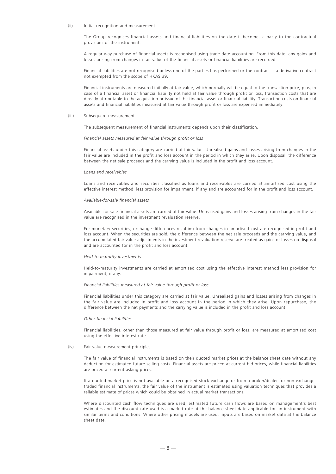#### (ii) Initial recognition and measurement

The Group recognises financial assets and financial liabilities on the date it becomes a party to the contractual provisions of the instrument.

A regular way purchase of financial assets is recognised using trade date accounting. From this date, any gains and losses arising from changes in fair value of the financial assets or financial liabilities are recorded.

Financial liabilities are not recognised unless one of the parties has performed or the contract is a derivative contract not exempted from the scope of HKAS 39.

Financial instruments are measured initially at fair value, which normally will be equal to the transaction price, plus, in case of a financial asset or financial liability not held at fair value through profit or loss, transaction costs that are directly attributable to the acquisition or issue of the financial asset or financial liability. Transaction costs on financial assets and financial liabilities measured at fair value through profit or loss are expensed immediately.

#### (iii) Subsequent measurement

The subsequent measurement of financial instruments depends upon their classification.

#### *Financial assets measured at fair value through profit or loss*

Financial assets under this category are carried at fair value. Unrealised gains and losses arising from changes in the fair value are included in the profit and loss account in the period in which they arise. Upon disposal, the difference between the net sale proceeds and the carrying value is included in the profit and loss account.

#### *Loans and receivables*

Loans and receivables and securities classified as loans and receivables are carried at amortised cost using the effective interest method, less provision for impairment, if any and are accounted for in the profit and loss account.

#### *Available-for-sale financial assets*

Available-for-sale financial assets are carried at fair value. Unrealised gains and losses arising from changes in the fair value are recognised in the investment revaluation reserve.

For monetary securities, exchange differences resulting from changes in amortised cost are recognised in profit and loss account. When the securities are sold, the difference between the net sale proceeds and the carrying value, and the accumulated fair value adjustments in the investment revaluation reserve are treated as gains or losses on disposal and are accounted for in the profit and loss account.

#### *Held-to-maturity investments*

Held-to-maturity investments are carried at amortised cost using the effective interest method less provision for impairment, if any.

#### *Financial liabilities measured at fair value through profit or loss*

Financial liabilities under this category are carried at fair value. Unrealised gains and losses arising from changes in the fair value are included in profit and loss account in the period in which they arise. Upon repurchase, the difference between the net payments and the carrying value is included in the profit and loss account.

#### *Other financial liabilities*

Financial liabilities, other than those measured at fair value through profit or loss, are measured at amortised cost using the effective interest rate.

#### (iv) Fair value measurement principles

The fair value of financial instruments is based on their quoted market prices at the balance sheet date without any deduction for estimated future selling costs. Financial assets are priced at current bid prices, while financial liabilities are priced at current asking prices.

If a quoted market price is not available on a recognised stock exchange or from a broker/dealer for non-exchangetraded financial instruments, the fair value of the instrument is estimated using valuation techniques that provides a reliable estimate of prices which could be obtained in actual market transactions.

Where discounted cash flow techniques are used, estimated future cash flows are based on management's best estimates and the discount rate used is a market rate at the balance sheet date applicable for an instrument with similar terms and conditions. Where other pricing models are used, inputs are based on market data at the balance sheet date.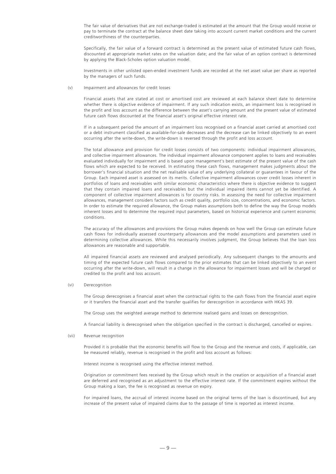The fair value of derivatives that are not exchange-traded is estimated at the amount that the Group would receive or pay to terminate the contract at the balance sheet date taking into account current market conditions and the current creditworthiness of the counterparties.

Specifically, the fair value of a forward contract is determined as the present value of estimated future cash flows, discounted at appropriate market rates on the valuation date; and the fair value of an option contract is determined by applying the Black-Scholes option valuation model.

Investments in other unlisted open-ended investment funds are recorded at the net asset value per share as reported by the managers of such funds.

(v) Impairment and allowances for credit losses

Financial assets that are stated at cost or amortised cost are reviewed at each balance sheet date to determine whether there is objective evidence of impairment. If any such indication exists, an impairment loss is recognised in the profit and loss account as the difference between the asset's carrying amount and the present value of estimated future cash flows discounted at the financial asset's original effective interest rate.

If in a subsequent period the amount of an impairment loss recognised on a financial asset carried at amortised cost or a debt instrument classified as available-for-sale decreases and the decrease can be linked objectively to an event occurring after the write-down, the write-down is reversed through the profit and loss account.

The total allowance and provision for credit losses consists of two components: individual impairment allowances, and collective impairment allowances. The individual impairment allowance component applies to loans and receivables evaluated individually for impairment and is based upon management's best estimate of the present value of the cash flows which are expected to be received. In estimating these cash flows, management makes judgments about the borrower's financial situation and the net realisable value of any underlying collateral or guarantees in favour of the Group. Each impaired asset is assessed on its merits. Collective impairment allowances cover credit losses inherent in portfolios of loans and receivables with similar economic characteristics where there is objective evidence to suggest that they contain impaired loans and receivables but the individual impaired items cannot yet be identified. A component of collective impairment allowances is for country risks. In assessing the need for collective impairment allowances, management considers factors such as credit quality, portfolio size, concentrations, and economic factors. In order to estimate the required allowance, the Group makes assumptions both to define the way the Group models inherent losses and to determine the required input parameters, based on historical experience and current economic conditions.

The accuracy of the allowances and provisions the Group makes depends on how well the Group can estimate future cash flows for individually assessed counterparty allowances and the model assumptions and parameters used in determining collective allowances. While this necessarily involves judgment, the Group believes that the loan loss allowances are reasonable and supportable.

All impaired financial assets are reviewed and analysed periodically. Any subsequent changes to the amounts and timing of the expected future cash flows compared to the prior estimates that can be linked objectively to an event occurring after the write-down, will result in a change in the allowance for impairment losses and will be charged or credited to the profit and loss account.

(vi) Derecognition

The Group derecognises a financial asset when the contractual rights to the cash flows from the financial asset expire or it transfers the financial asset and the transfer qualifies for derecognition in accordance with HKAS 39.

The Group uses the weighted average method to determine realised gains and losses on derecognition.

A financial liability is derecognised when the obligation specified in the contract is discharged, cancelled or expires.

(vii) Revenue recognition

Provided it is probable that the economic benefits will flow to the Group and the revenue and costs, if applicable, can be measured reliably, revenue is recognised in the profit and loss account as follows:

Interest income is recognised using the effective interest method.

Origination or commitment fees received by the Group which result in the creation or acquisition of a financial asset are deferred and recognised as an adjustment to the effective interest rate. If the commitment expires without the Group making a loan, the fee is recognised as revenue on expiry.

For impaired loans, the accrual of interest income based on the original terms of the loan is discontinued, but any increase of the present value of impaired claims due to the passage of time is reported as interest income.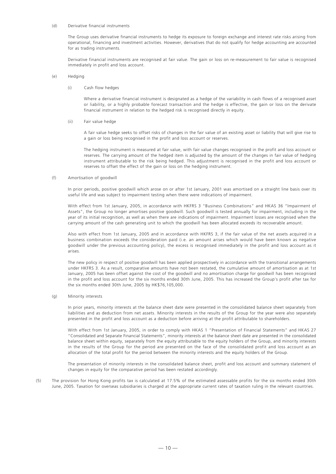#### (d) Derivative financial instruments

The Group uses derivative financial instruments to hedge its exposure to foreign exchange and interest rate risks arising from operational, financing and investment activities. However, derivatives that do not qualify for hedge accounting are accounted for as trading instruments.

Derivative financial instruments are recognised at fair value. The gain or loss on re-measurement to fair value is recognised immediately in profit and loss account.

(e) Hedging

(i) Cash flow hedges

Where a derivative financial instrument is designated as a hedge of the variability in cash flows of a recognised asset or liability, or a highly probable forecast transaction and the hedge is effective, the gain or loss on the derivate financial instrument in relation to the hedged risk is recognised directly in equity.

#### (ii) Fair value hedge

A fair value hedge seeks to offset risks of changes in the fair value of an existing asset or liability that will give rise to a gain or loss being recognised in the profit and loss account or reserves.

The hedging instrument is measured at fair value, with fair value changes recognised in the profit and loss account or reserves. The carrying amount of the hedged item is adjusted by the amount of the changes in fair value of hedging instrument attributable to the risk being hedged. This adjustment is recognised in the profit and loss account or reserves to offset the effect of the gain or loss on the hedging instrument.

#### (f) Amortisation of goodwill

In prior periods, positive goodwill which arose on or after 1st January, 2001 was amortised on a straight line basis over its useful life and was subject to impairment testing when there were indications of impairment.

With effect from 1st January, 2005, in accordance with HKFRS 3 "Business Combinations" and HKAS 36 "Impairment of Assets", the Group no longer amortises positive goodwill. Such goodwill is tested annually for impairment, including in the year of its initial recognition, as well as when there are indications of impairment. Impairment losses are recognised when the carrying amount of the cash generating unit to which the goodwill has been allocated exceeds its recoverable amount.

Also with effect from 1st January, 2005 and in accordance with HKFRS 3, if the fair value of the net assets acquired in a business combination exceeds the consideration paid (i.e. an amount arises which would have been known as negative goodwill under the previous accounting policy), the excess is recognised immediately in the profit and loss account as it arises.

The new policy in respect of positive goodwill has been applied prospectively in accordance with the transitional arrangements under HKFRS 3. As a result, comparative amounts have not been restated, the cumulative amount of amortisation as at 1st January, 2005 has been offset against the cost of the goodwill and no amortisation charge for goodwill has been recognised in the profit and loss account for the six months ended 30th June, 2005. This has increased the Group's profit after tax for the six months ended 30th June, 2005 by HK\$76,105,000.

#### (g) Minority interests

In prior years, minority interests at the balance sheet date were presented in the consolidated balance sheet separately from liabilities and as deduction from net assets. Minority interests in the results of the Group for the year were also separately presented in the profit and loss account as a deduction before arriving at the profit attributable to shareholders.

With effect from 1st January, 2005, in order to comply with HKAS 1 "Presentation of Financial Statements" and HKAS 27 "Consolidated and Separate Financial Statements", minority interests at the balance sheet date are presented in the consolidated balance sheet within equity, separately from the equity attributable to the equity holders of the Group, and minority interests in the results of the Group for the period are presented on the face of the consolidated profit and loss account as an allocation of the total profit for the period between the minority interests and the equity holders of the Group.

The presentation of minority interests in the consolidated balance sheet, profit and loss account and summary statement of changes in equity for the comparative period has been restated accordingly.

(5) The provision for Hong Kong profits tax is calculated at 17.5% of the estimated assessable profits for the six months ended 30th June, 2005. Taxation for overseas subsidiaries is charged at the appropriate current rates of taxation ruling in the relevant countries.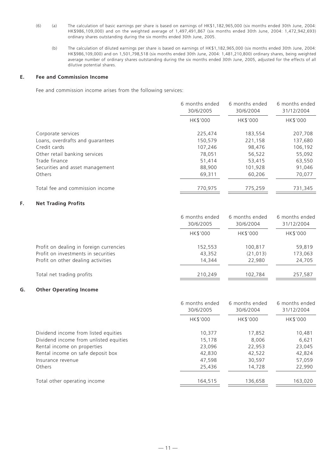- (6) (a) The calculation of basic earnings per share is based on earnings of HK\$1,182,965,000 (six months ended 30th June, 2004: HK\$986,109,000) and on the weighted average of 1,497,491,867 (six months ended 30th June, 2004: 1,472,942,693) ordinary shares outstanding during the six months ended 30th June, 2005.
	- (b) The calculation of diluted earnings per share is based on earnings of HK\$1,182,965,000 (six months ended 30th June, 2004: HK\$986,109,000) and on 1,501,798,518 (six months ended 30th June, 2004: 1,481,210,800) ordinary shares, being weighted average number of ordinary shares outstanding during the six months ended 30th June, 2005, adjusted for the effects of all dilutive potential shares.

# **E. Fee and Commission Income**

Fee and commission income arises from the following services:

|                                  | 6 months ended<br>30/6/2005 | 6 months ended<br>30/6/2004 | 6 months ended<br>31/12/2004 |
|----------------------------------|-----------------------------|-----------------------------|------------------------------|
|                                  | HK\$'000                    | <b>HK\$'000</b>             | <b>HK\$'000</b>              |
| Corporate services               | 225,474                     | 183,554                     | 207,708                      |
| Loans, overdrafts and guarantees | 150,579                     | 221,158                     | 137,680                      |
| Credit cards                     | 107,246                     | 98,476                      | 106,192                      |
| Other retail banking services    | 78,051                      | 56,522                      | 55,092                       |
| Trade finance                    | 51,414                      | 53.415                      | 63,550                       |
| Securities and asset management  | 88,900                      | 101,928                     | 91,046                       |
| Others                           | 69,311                      | 60,206                      | 70,077                       |
| Total fee and commission income  | 770.975                     | 775,259                     | 731,345                      |

# **F. Net Trading Profits**

|                                                                           | 6 months ended<br>30/6/2005 | 6 months ended<br>30/6/2004 | 6 months ended<br>31/12/2004 |
|---------------------------------------------------------------------------|-----------------------------|-----------------------------|------------------------------|
|                                                                           | HK\$'000                    | <b>HK\$'000</b>             | <b>HK\$'000</b>              |
| Profit on dealing in foreign currencies                                   | 152,553                     | 100,817                     | 59,819                       |
| Profit on investments in securities<br>Profit on other dealing activities | 43,352<br>14.344            | (21, 013)<br>22,980         | 173,063<br>24,705            |
| Total net trading profits                                                 | 210,249                     | 102,784                     | 257,587                      |

# **G. Other Operating Income**

|                                        | 6 months ended<br>30/6/2005 | 6 months ended<br>30/6/2004 | 6 months ended<br>31/12/2004 |
|----------------------------------------|-----------------------------|-----------------------------|------------------------------|
|                                        | HK\$'000                    | HK\$'000                    | HK\$'000                     |
| Dividend income from listed equities   | 10,377                      | 17,852                      | 10,481                       |
| Dividend income from unlisted equities | 15,178                      | 8.006                       | 6,621                        |
| Rental income on properties            | 23.096                      | 22,953                      | 23,045                       |
| Rental income on safe deposit box      | 42,830                      | 42,522                      | 42,824                       |
| Insurance revenue                      | 47,598                      | 30,597                      | 57,059                       |
| Others                                 | 25,436                      | 14,728                      | 22,990                       |
| Total other operating income           | 164,515                     | 136,658                     | 163,020                      |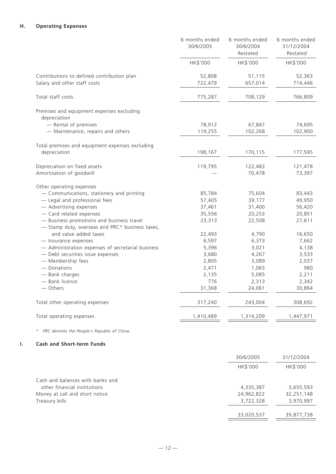# **H. Operating Expenses**

|                                                                                                                                                                                                                                                                                                                                                                   | 6 months ended<br>30/6/2005                                                | 6 months ended<br>30/6/2004<br>Restated                                   | 6 months ended<br>31/12/2004<br>Restated                                   |
|-------------------------------------------------------------------------------------------------------------------------------------------------------------------------------------------------------------------------------------------------------------------------------------------------------------------------------------------------------------------|----------------------------------------------------------------------------|---------------------------------------------------------------------------|----------------------------------------------------------------------------|
|                                                                                                                                                                                                                                                                                                                                                                   | HK\$'000                                                                   | HK\$'000                                                                  | HK\$'000                                                                   |
| Contributions to defined contribution plan<br>Salary and other staff costs                                                                                                                                                                                                                                                                                        | 52,808<br>722,479                                                          | 51,115<br>657,014                                                         | 52,363<br>714,446                                                          |
| Total staff costs                                                                                                                                                                                                                                                                                                                                                 | 775,287                                                                    | 708,129                                                                   | 766,809                                                                    |
| Premises and equipment expenses excluding<br>depreciation                                                                                                                                                                                                                                                                                                         |                                                                            |                                                                           |                                                                            |
| - Rental of premises<br>- Maintenance, repairs and others                                                                                                                                                                                                                                                                                                         | 78,912<br>119,255                                                          | 67,847<br>102,268                                                         | 74,695<br>102,900                                                          |
| Total premises and equipment expenses excluding<br>depreciation                                                                                                                                                                                                                                                                                                   | 198,167                                                                    | 170,115                                                                   | 177,595                                                                    |
| Depreciation on fixed assets<br>Amortisation of goodwill                                                                                                                                                                                                                                                                                                          | 119,795                                                                    | 122,483<br>70,478                                                         | 121,478<br>73,397                                                          |
| Other operating expenses<br>- Communications, stationery and printing<br>- Legal and professional fees<br>- Advertising expenses<br>- Card related expenses<br>- Business promotions and business travel<br>- Stamp duty, overseas and PRC* business taxes,<br>and value added taxes<br>- Insurance expenses<br>- Administration expenses of secretarial business | 85,784<br>57,405<br>37,461<br>35,556<br>23,313<br>22,493<br>6,597<br>5,396 | 75,604<br>39,177<br>31,400<br>20,253<br>22,508<br>4,790<br>6,373<br>3,021 | 83,443<br>49,950<br>56,420<br>20,851<br>27,611<br>16,650<br>7,662<br>4,138 |
| - Debt securities issue expenses<br>- Membership fees<br>- Donations<br>- Bank charges<br>- Bank licence<br>— Others                                                                                                                                                                                                                                              | 3,680<br>2,805<br>2,471<br>2,135<br>776<br>31,368                          | 4,267<br>3,089<br>1,063<br>5,085<br>2,313<br>24,061                       | 3,533<br>2,037<br>980<br>2,211<br>2,342<br>30,864                          |
| Total other operating expenses                                                                                                                                                                                                                                                                                                                                    | 317,240                                                                    | 243,004                                                                   | 308,692                                                                    |
| Total operating expenses                                                                                                                                                                                                                                                                                                                                          | 1,410,489                                                                  | 1,314,209                                                                 | 1,447,971                                                                  |

*\* PRC denotes the People's Republic of China.*

# **I. Cash and Short-term Funds**

|                                  | 30/6/2005  | 31/12/2004 |
|----------------------------------|------------|------------|
|                                  | HK\$'000   | HK\$'000   |
| Cash and balances with banks and |            |            |
| other financial institutions     | 4,335,387  | 3,655,593  |
| Money at call and short notice   | 24,962,822 | 32,251,148 |
| Treasury bills                   | 3,722,328  | 3,970,997  |
|                                  |            |            |
|                                  | 33,020,537 | 39,877,738 |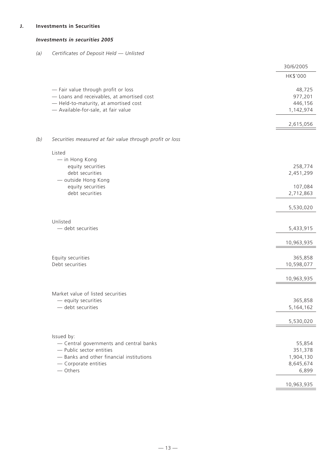# **J. Investments in Securities**

# *Investments in securities 2005*

*(a) Certificates of Deposit Held — Unlisted*

|                                                          | 30/6/2005            |
|----------------------------------------------------------|----------------------|
|                                                          | HK\$'000             |
| - Fair value through profit or loss                      | 48,725               |
| - Loans and receivables, at amortised cost               | 977,201              |
| - Held-to-maturity, at amortised cost                    | 446,156              |
| - Available-for-sale, at fair value                      | 1,142,974            |
|                                                          | 2,615,056            |
| Securities measured at fair value through profit or loss |                      |
| Listed                                                   |                      |
| - in Hong Kong                                           |                      |
| equity securities                                        | 258,774              |
| debt securities                                          | 2,451,299            |
| - outside Hong Kong                                      |                      |
| equity securities<br>debt securities                     | 107,084<br>2,712,863 |
|                                                          |                      |
|                                                          | 5,530,020            |
| Unlisted                                                 |                      |
| - debt securities                                        | 5,433,915            |
|                                                          | 10,963,935           |
|                                                          |                      |
| Equity securities                                        | 365,858              |
| Debt securities                                          | 10,598,077           |
|                                                          |                      |
|                                                          | 10,963,935           |
| Market value of listed securities                        |                      |
| - equity securities                                      | 365,858              |
| $-$ debt securities                                      | 5,164,162            |
|                                                          | 5,530,020            |
| Issued by:                                               |                      |
| - Central governments and central banks                  | 55,854               |
| - Public sector entities                                 | 351,378              |
| - Banks and other financial institutions                 | 1,904,130            |
| - Corporate entities                                     | 8,645,674            |
| - Others                                                 | 6,899                |
|                                                          | 10,963,935           |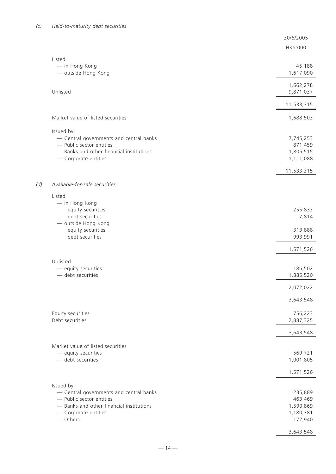|     |                                                                     | 30/6/2005            |
|-----|---------------------------------------------------------------------|----------------------|
|     |                                                                     | HK\$'000             |
|     |                                                                     |                      |
|     | Listed                                                              | 45,188               |
|     | - in Hong Kong<br>- outside Hong Kong                               | 1,617,090            |
|     |                                                                     |                      |
|     |                                                                     | 1,662,278            |
|     | Unlisted                                                            | 9,871,037            |
|     |                                                                     | 11,533,315           |
|     |                                                                     |                      |
|     | Market value of listed securities                                   | 1,688,503            |
|     |                                                                     |                      |
|     | Issued by:                                                          |                      |
|     | - Central governments and central banks<br>- Public sector entities | 7,745,253<br>871,459 |
|     | - Banks and other financial institutions                            | 1,805,515            |
|     | - Corporate entities                                                | 1,111,088            |
|     |                                                                     |                      |
|     |                                                                     | 11,533,315           |
| (d) | Available-for-sale securities                                       |                      |
|     |                                                                     |                      |
|     | Listed                                                              |                      |
|     | - in Hong Kong<br>equity securities                                 | 255,833              |
|     | debt securities                                                     | 7,814                |
|     | - outside Hong Kong                                                 |                      |
|     | equity securities                                                   | 313,888              |
|     | debt securities                                                     | 993,991              |
|     |                                                                     |                      |
|     |                                                                     | 1,571,526            |
|     | Unlisted                                                            |                      |
|     | - equity securities                                                 | 186,502              |
|     | - debt securities                                                   | 1,885,520            |
|     |                                                                     | 2,072,022            |
|     |                                                                     |                      |
|     |                                                                     | 3,643,548            |
|     | Equity securities                                                   | 756,223              |
|     | Debt securities                                                     | 2,887,325            |
|     |                                                                     |                      |
|     |                                                                     | 3,643,548            |
|     | Market value of listed securities                                   |                      |
|     | - equity securities                                                 | 569,721              |
|     | - debt securities                                                   | 1,001,805            |
|     |                                                                     |                      |
|     |                                                                     | 1,571,526            |
|     | Issued by:                                                          |                      |
|     | - Central governments and central banks                             | 235,889              |
|     | - Public sector entities                                            | 463,469              |
|     | - Banks and other financial institutions                            | 1,590,869            |
|     | - Corporate entities                                                | 1,180,381            |
|     | - Others                                                            | 172,940              |
|     |                                                                     | 3,643,548            |
|     |                                                                     |                      |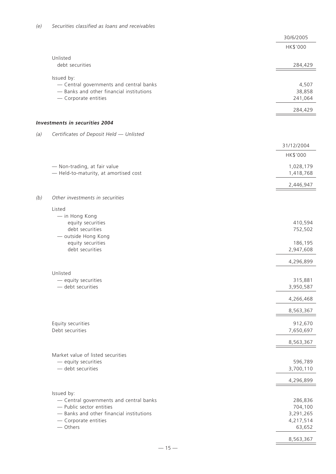|     |                                          | 30/6/2005  |
|-----|------------------------------------------|------------|
|     |                                          | HK\$'000   |
|     | Unlisted                                 |            |
|     | debt securities                          | 284,429    |
|     | Issued by:                               |            |
|     | - Central governments and central banks  | 4,507      |
|     | - Banks and other financial institutions | 38,858     |
|     | - Corporate entities                     | 241,064    |
|     |                                          | 284,429    |
|     | <b>Investments in securities 2004</b>    |            |
| (a) | Certificates of Deposit Held - Unlisted  |            |
|     |                                          | 31/12/2004 |
|     |                                          | HK\$'000   |
|     | - Non-trading, at fair value             | 1,028,179  |
|     | - Held-to-maturity, at amortised cost    | 1,418,768  |
|     |                                          | 2,446,947  |
| (b) | Other investments in securities          |            |
|     | Listed                                   |            |
|     | - in Hong Kong                           |            |
|     | equity securities                        | 410,594    |
|     | debt securities                          | 752,502    |
|     | - outside Hong Kong                      |            |
|     | equity securities                        | 186,195    |
|     | debt securities                          | 2,947,608  |
|     |                                          | 4,296,899  |
|     | Unlisted                                 |            |
|     | - equity securities                      | 315,881    |
|     | - debt securities                        | 3,950,587  |
|     |                                          | 4,266,468  |
|     |                                          | 8,563,367  |
|     | Equity securities                        | 912,670    |
|     | Debt securities                          | 7,650,697  |
|     |                                          | 8,563,367  |
|     | Market value of listed securities        |            |
|     | - equity securities                      | 596,789    |
|     | $-$ debt securities                      | 3,700,110  |
|     |                                          | 4,296,899  |
|     | Issued by:                               |            |
|     | - Central governments and central banks  | 286,836    |
|     | - Public sector entities                 | 704,100    |
|     | - Banks and other financial institutions | 3,291,265  |
|     | - Corporate entities                     | 4,217,514  |
|     | - Others                                 | 63,652     |
|     |                                          | 8,563,367  |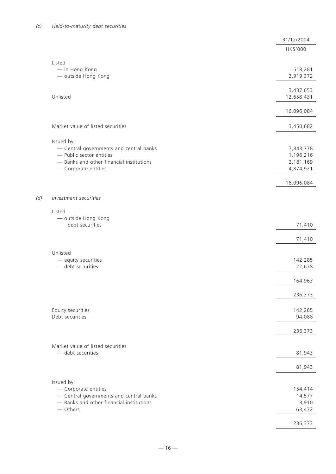*(d) Investment securities*

|                                                                     | 31/12/2004             |
|---------------------------------------------------------------------|------------------------|
|                                                                     | HK\$'000               |
|                                                                     |                        |
| Listed                                                              |                        |
| - in Hong Kong                                                      | 518,281                |
| - outside Hong Kong                                                 | 2,919,372              |
|                                                                     |                        |
|                                                                     | 3,437,653              |
| Unlisted                                                            | 12,658,431             |
|                                                                     |                        |
|                                                                     | 16,096,084             |
|                                                                     |                        |
| Market value of listed securities                                   | 3,450,682              |
|                                                                     |                        |
| Issued by:                                                          |                        |
| - Central governments and central banks<br>- Public sector entities | 7,843,778              |
| - Banks and other financial institutions                            | 1,196,216<br>2,181,169 |
| - Corporate entities                                                | 4,874,921              |
|                                                                     |                        |
|                                                                     | 16,096,084             |
|                                                                     |                        |
| Investment securities                                               |                        |
|                                                                     |                        |
| Listed                                                              |                        |
| - outside Hong Kong                                                 |                        |
| debt securities                                                     | 71,410                 |
|                                                                     |                        |
|                                                                     | 71,410                 |
|                                                                     |                        |
| Unlisted                                                            |                        |
| - equity securities                                                 | 142,285                |
| - debt securities                                                   | 22,678                 |
|                                                                     |                        |
|                                                                     | 164,963                |
|                                                                     | 236,373                |
|                                                                     |                        |
| Equity securities                                                   | 142,285                |
| Debt securities                                                     | 94,088                 |
|                                                                     |                        |
|                                                                     | 236,373                |
|                                                                     |                        |
| Market value of listed securities                                   |                        |
| - debt securities                                                   | 81,943                 |
|                                                                     |                        |
|                                                                     | 81,943                 |
|                                                                     |                        |
| Issued by:                                                          |                        |
| - Corporate entities                                                | 154,414                |
| - Central governments and central banks                             | 14,577                 |
| - Banks and other financial institutions                            | 3,910                  |
| - Others                                                            | 63,472                 |
|                                                                     |                        |
|                                                                     | 236,373                |
|                                                                     |                        |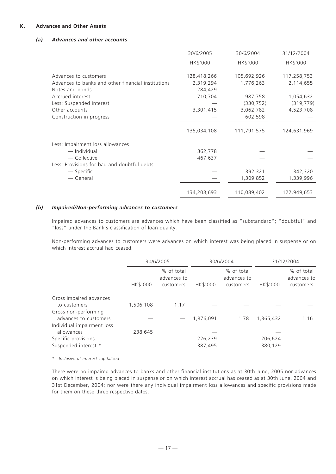# **K. Advances and Other Assets**

## *(a) Advances and other accounts*

|                                                                             | 30/6/2005                | 30/6/2004                | 31/12/2004               |
|-----------------------------------------------------------------------------|--------------------------|--------------------------|--------------------------|
|                                                                             | HK\$'000                 | HK\$'000                 | HK\$'000                 |
| Advances to customers<br>Advances to banks and other financial institutions | 128,418,266<br>2,319,294 | 105,692,926<br>1,776,263 | 117,258,753<br>2,114,655 |
| Notes and bonds                                                             | 284,429                  |                          |                          |
| Accrued interest                                                            | 710,704                  | 987,758                  | 1,054,632                |
| Less: Suspended interest                                                    |                          | (330, 752)               | (319, 779)               |
| Other accounts                                                              | 3,301,415                | 3,062,782                | 4,523,708                |
| Construction in progress                                                    |                          | 602,598                  |                          |
|                                                                             | 135,034,108              | 111,791,575              | 124,631,969              |
| Less: Impairment loss allowances                                            |                          |                          |                          |
| — Individual                                                                | 362,778                  |                          |                          |
| — Collective                                                                | 467,637                  |                          |                          |
| Less: Provisions for bad and doubtful debts                                 |                          |                          |                          |
| — Specific                                                                  |                          | 392,321                  | 342,320                  |
| — General                                                                   |                          | 1,309,852                | 1,339,996                |
|                                                                             | 134,203,693              | 110,089,402              | 122,949,653              |

## *(b) Impaired/Non-performing advances to customers*

Impaired advances to customers are advances which have been classified as "substandard"; "doubtful" and "loss" under the Bank's classification of loan quality.

Non-performing advances to customers were advances on which interest was being placed in suspense or on which interest accrual had ceased.

|                                                                             | 30/6/2005 |                                        |                    | 30/6/2004                              | 31/12/2004         |                                        |
|-----------------------------------------------------------------------------|-----------|----------------------------------------|--------------------|----------------------------------------|--------------------|----------------------------------------|
|                                                                             | HK\$'000  | % of total<br>advances to<br>customers | HK\$'000           | % of total<br>advances to<br>customers | HK\$'000           | % of total<br>advances to<br>customers |
| Gross impaired advances<br>to customers                                     | 1,506,108 | 1.17                                   |                    |                                        |                    |                                        |
| Gross non-performing<br>advances to customers<br>Individual impairment loss |           |                                        | 1,876,091          | 1.78                                   | 1,365,432          | 1.16                                   |
| allowances                                                                  | 238,645   |                                        |                    |                                        |                    |                                        |
| Specific provisions<br>Suspended interest *                                 |           |                                        | 226,239<br>387,495 |                                        | 206,624<br>380,129 |                                        |

*\* Inclusive of interest capitalised*

There were no impaired advances to banks and other financial institutions as at 30th June, 2005 nor advances on which interest is being placed in suspense or on which interest accrual has ceased as at 30th June, 2004 and 31st December, 2004; nor were there any individual impairment loss allowances and specific provisions made for them on these three respective dates.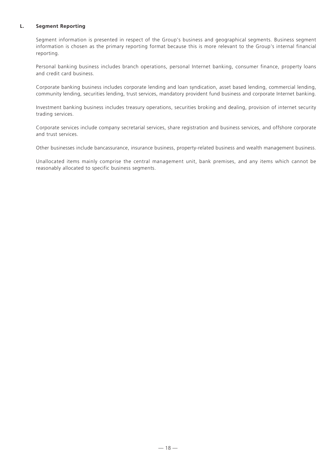## **L. Segment Reporting**

Segment information is presented in respect of the Group's business and geographical segments. Business segment information is chosen as the primary reporting format because this is more relevant to the Group's internal financial reporting.

Personal banking business includes branch operations, personal Internet banking, consumer finance, property loans and credit card business.

Corporate banking business includes corporate lending and loan syndication, asset based lending, commercial lending, community lending, securities lending, trust services, mandatory provident fund business and corporate Internet banking.

Investment banking business includes treasury operations, securities broking and dealing, provision of internet security trading services.

Corporate services include company secretarial services, share registration and business services, and offshore corporate and trust services.

Other businesses include bancassurance, insurance business, property-related business and wealth management business.

Unallocated items mainly comprise the central management unit, bank premises, and any items which cannot be reasonably allocated to specific business segments.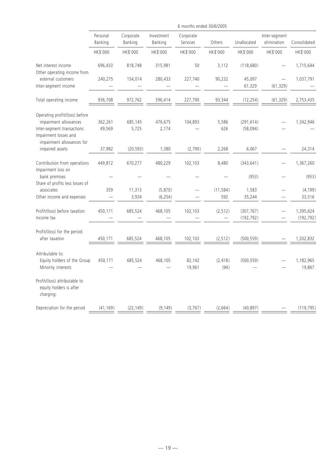|                                                                                                                                             | 6 months ended 30/6/2005 |                      |                       |                       |                                      |                          |                                                      |                         |
|---------------------------------------------------------------------------------------------------------------------------------------------|--------------------------|----------------------|-----------------------|-----------------------|--------------------------------------|--------------------------|------------------------------------------------------|-------------------------|
|                                                                                                                                             | Personal<br>Banking      | Corporate<br>Banking | Investment<br>Banking | Corporate<br>Services | Others                               | Unallocated              | Inter-segment<br>elimination                         | Consolidated            |
|                                                                                                                                             | HK\$'000                 | HK\$'000             | HK\$'000              | HK\$'000              | HK\$'000                             | HK\$'000                 | HK\$'000                                             | HK\$'000                |
| Net interest income<br>Other operating income from                                                                                          | 696,433                  | 818,748              | 315,981               | 50                    | 3,112                                | (118, 680)               |                                                      | 1,715,644               |
| external customers<br>Inter-segment income                                                                                                  | 240,275                  | 154,014              | 280,433               | 227,740               | 90,232                               | 45,097<br>61,329         | (61, 329)                                            | 1,037,791               |
| Total operating income                                                                                                                      | 936,708                  | 972,762              | 596,414               | 227,790               | 93,344                               | (12, 254)                | (61, 329)                                            | 2,753,435               |
| Operating profit/(loss) before<br>impairment allowances<br>Inter-segment transactions<br>Impairment losses and<br>impairment allowances for | 362,261<br>49,569        | 685,145<br>5,725     | 476,675<br>2,174      | 104,893               | 5,586<br>626                         | (291, 614)<br>(58,094)   |                                                      | 1,342,946               |
| impaired assets                                                                                                                             | 37,982                   | (20, 593)            | 1,380                 | (2,790)               | 2,268                                | 6,067                    |                                                      | 24,314                  |
| Contribution from operations<br>Impairment loss on                                                                                          | 449,812                  | 670,277              | 480,229               | 102,103               | 8,480                                | (343, 641)               |                                                      | 1,367,260               |
| bank premises                                                                                                                               |                          |                      |                       |                       |                                      | (953)                    |                                                      | (953)                   |
| Share of profits less losses of<br>associates<br>Other income and expenses                                                                  | 359                      | 11,313<br>3,934      | (5,870)<br>(6, 254)   |                       | (11, 584)<br>592                     | 1,583<br>35,244          |                                                      | (4, 199)<br>33,516      |
| Profit/(loss) before taxation<br>Income tax                                                                                                 | 450,171                  | 685,524              | 468,105               | 102,103               | (2, 512)<br>$\overline{\phantom{m}}$ | (307, 767)<br>(192, 792) | $\overline{\phantom{0}}$<br>$\overline{\phantom{0}}$ | 1,395,624<br>(192, 792) |
| Profit/(loss) for the period<br>after taxation                                                                                              | 450,171                  | 685,524              | 468,105               | 102,103               | (2, 512)                             | (500, 559)               |                                                      | 1,202,832               |
| Attributable to:<br>Equity holders of the Group<br>Minority interests                                                                       | 450,171                  | 685,524              | 468,105               | 82,142<br>19,961      | (2, 418)<br>(94)                     | (500, 559)               |                                                      | 1,182,965<br>19,867     |
| Profit/(loss) attributable to<br>equity holders is after<br>charging:                                                                       |                          |                      |                       |                       |                                      |                          |                                                      |                         |
| Depreciation for the period                                                                                                                 | (41, 169)                | (22, 149)            | (9, 149)              | (3, 767)              | (2,664)                              | (40, 897)                |                                                      | (119, 795)              |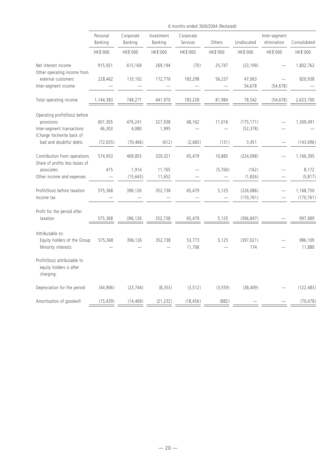|                                                                                                          | 6 months ended 30/6/2004 (Restated) |                      |                       |                       |          |                          |                              |                         |  |
|----------------------------------------------------------------------------------------------------------|-------------------------------------|----------------------|-----------------------|-----------------------|----------|--------------------------|------------------------------|-------------------------|--|
|                                                                                                          | Personal<br>Banking                 | Corporate<br>Banking | Investment<br>Banking | Corporate<br>Services | Others   | Unallocated              | Inter-segment<br>elimination | Consolidated            |  |
|                                                                                                          | HK\$'000                            | HK\$'000             | HK\$'000              | HK\$'000              | HK\$'000 | HK\$'000                 | HK\$'000                     | HK\$'000                |  |
| Net interest income<br>Other operating income from                                                       | 915,921                             | 615,169              | 269,194               | (70)                  | 25,747   | (23, 199)                |                              | 1,802,762               |  |
| external customers<br>Inter-segment income                                                               | 228,462                             | 133,102              | 172,776               | 183,298               | 56,237   | 47,063<br>54,678         | (54, 678)                    | 820,938                 |  |
| Total operating income                                                                                   | 1,144,383                           | 748,271              | 441,970               | 183,228               | 81,984   | 78,542                   | (54, 678)                    | 2,623,700               |  |
| Operating profit/(loss) before<br>provisions<br>Inter-segment transactions<br>(Charge for)/write back of | 601,305<br>46,303                   | 476,241<br>4,080     | 327,938<br>1,995      | 68,162                | 11,016   | (175, 171)<br>(52, 378)  |                              | 1,309,491               |  |
| bad and doubtful debts                                                                                   | (72, 655)                           | (70, 466)            | (612)                 | (2,683)               | (131)    | 3,451                    |                              | (143,096)               |  |
| Contribution from operations<br>Share of profits less losses of                                          | 574,953                             | 409,855              | 329,321               | 65,479                | 10,885   | (224, 098)               |                              | 1,166,395               |  |
| associates<br>Other income and expenses                                                                  | 415                                 | 1,914<br>(15, 643)   | 11,765<br>11,652      |                       | (5,760)  | (162)<br>(1,826)         |                              | 8,172<br>(5, 817)       |  |
| Profit/(loss) before taxation<br>Income tax                                                              | 575,368                             | 396,126              | 352,738               | 65,479                | 5,125    | (226, 086)<br>(170, 761) |                              | 1,168,750<br>(170, 761) |  |
| Profit for the period after<br>taxation                                                                  | 575,368                             | 396,126              | 352,738               | 65,479                | 5,125    | (396, 847)               |                              | 997,989                 |  |
| Attributable to:<br>Equity holders of the Group<br>Minority interests                                    | 575,368                             | 396,126              | 352,738               | 53,773<br>11,706      | 5,125    | (397, 021)<br>174        |                              | 986,109<br>11,880       |  |
| Profit/(loss) attributable to<br>equity holders is after<br>charging:                                    |                                     |                      |                       |                       |          |                          |                              |                         |  |
| Depreciation for the period                                                                              | (44, 906)                           | (23, 744)            | (8, 353)              | (3, 512)              | (3, 559) | (38, 409)                |                              | (122, 483)              |  |
| Amortisation of goodwill                                                                                 | (15, 439)                           | (14, 469)            | (21, 232)             | (18, 456)             | (882)    |                          |                              | (70, 478)               |  |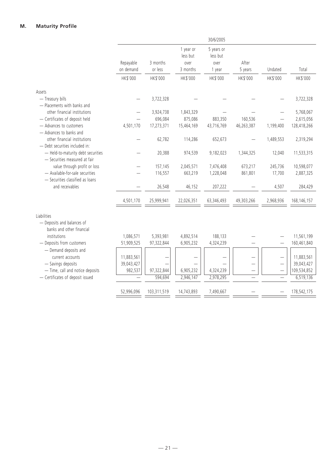|            |                      |                                                                                                    | 30/6/2005                                                                                               |                                                                                                              |                                                          |                                                                |
|------------|----------------------|----------------------------------------------------------------------------------------------------|---------------------------------------------------------------------------------------------------------|--------------------------------------------------------------------------------------------------------------|----------------------------------------------------------|----------------------------------------------------------------|
| Repayable  | 3 months             | 1 year or<br>less but<br>over                                                                      | 5 years or<br>less but<br>over                                                                          | After                                                                                                        |                                                          |                                                                |
| on demand  | or less              | 3 months                                                                                           | 1 year                                                                                                  | 5 years                                                                                                      | Undated                                                  | Total                                                          |
| HK\$'000   | HK\$'000             | HK\$'000                                                                                           | HK\$'000                                                                                                | HK\$'000                                                                                                     | HK\$'000                                                 | HK\$'000                                                       |
|            |                      |                                                                                                    |                                                                                                         |                                                                                                              |                                                          |                                                                |
|            | 3,722,328            |                                                                                                    |                                                                                                         |                                                                                                              |                                                          | 3,722,328                                                      |
|            | 3,924,738            | 1,843,329                                                                                          |                                                                                                         |                                                                                                              |                                                          | 5,768,067                                                      |
|            |                      |                                                                                                    |                                                                                                         |                                                                                                              |                                                          | 2,615,056                                                      |
|            |                      |                                                                                                    |                                                                                                         |                                                                                                              |                                                          | 128,418,266                                                    |
|            |                      |                                                                                                    |                                                                                                         |                                                                                                              |                                                          | 2,319,294                                                      |
|            |                      |                                                                                                    |                                                                                                         |                                                                                                              |                                                          | 11,533,315                                                     |
|            |                      |                                                                                                    |                                                                                                         |                                                                                                              |                                                          | 10,598,077                                                     |
|            |                      |                                                                                                    |                                                                                                         |                                                                                                              |                                                          | 2,887,325                                                      |
|            |                      |                                                                                                    |                                                                                                         |                                                                                                              |                                                          | 284,429                                                        |
| 4,501,170  | 25,999,941           | 22,026,351                                                                                         | 63,346,493                                                                                              | 49,303,266                                                                                                   | 2,968,936                                                | 168, 146, 157                                                  |
|            |                      |                                                                                                    |                                                                                                         |                                                                                                              |                                                          |                                                                |
| 1,086,571  | 5,393,981            | 4,892,514                                                                                          | 188,133                                                                                                 |                                                                                                              |                                                          | 11,561,199                                                     |
| 51,909,525 | 97,322,844           | 6,905,232                                                                                          | 4,324,239                                                                                               |                                                                                                              |                                                          | 160,461,840                                                    |
| 11,883,561 |                      |                                                                                                    |                                                                                                         |                                                                                                              |                                                          | 11,883,561                                                     |
| 39,043,427 |                      |                                                                                                    |                                                                                                         |                                                                                                              |                                                          | 39,043,427                                                     |
|            |                      |                                                                                                    |                                                                                                         | —                                                                                                            |                                                          | 109,534,852                                                    |
|            |                      |                                                                                                    |                                                                                                         |                                                                                                              |                                                          | 6,519,136                                                      |
| 52,996,096 | 103,311,519          | 14,743,893                                                                                         | 7,490,667                                                                                               |                                                                                                              |                                                          | 178,542,175                                                    |
|            | 4,501,170<br>982,537 | 696,084<br>17,273,371<br>62,782<br>20,388<br>157,145<br>116,557<br>26,548<br>97,322,844<br>594,694 | 875,086<br>15,464,169<br>114,286<br>974,539<br>2,045,571<br>663,219<br>46,152<br>6,905,232<br>2,946,147 | 883,350<br>43,716,769<br>652,673<br>9,182,023<br>7,476,408<br>1,228,048<br>207,222<br>4,324,239<br>2,978,295 | 160,536<br>46,263,387<br>1,344,325<br>673,217<br>861,801 | 1,199,400<br>1,489,553<br>12,040<br>245,736<br>17,700<br>4,507 |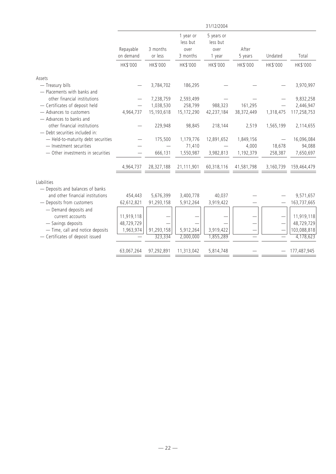|                                                                |                        |                     |                                           | 31/12/2004                               |                          |           |             |
|----------------------------------------------------------------|------------------------|---------------------|-------------------------------------------|------------------------------------------|--------------------------|-----------|-------------|
|                                                                | Repayable<br>on demand | 3 months<br>or less | 1 year or<br>less but<br>over<br>3 months | 5 years or<br>less but<br>over<br>1 year | After<br>5 years         | Undated   | Total       |
|                                                                | HK\$'000               | HK\$'000            | HK\$'000                                  | HK\$'000                                 | HK\$'000                 | HK\$'000  | HK\$'000    |
| Assets                                                         |                        |                     |                                           |                                          |                          |           |             |
| - Treasury bills<br>- Placements with banks and                |                        | 3,784,702           | 186,295                                   |                                          |                          |           | 3,970,997   |
| other financial institutions                                   |                        | 7,238,759           | 2,593,499                                 |                                          |                          |           | 9,832,258   |
| - Certificates of deposit held                                 |                        | 1,038,530           | 258,799                                   | 988,323                                  | 161,295                  |           | 2,446,947   |
| - Advances to customers<br>- Advances to banks and             | 4,964,737              | 15,193,618          | 15,172,290                                | 42,237,184                               | 38,372,449               | 1,318,475 | 117,258,753 |
| other financial institutions<br>- Debt securities included in: |                        | 229,948             | 98,845                                    | 218,144                                  | 2,519                    | 1,565,199 | 2,114,655   |
| - Held-to-maturity debt securities                             |                        | 175,500             | 1,179,776                                 | 12,891,652                               | 1,849,156                |           | 16,096,084  |
| - Investment securities                                        |                        |                     | 71,410                                    |                                          | 4,000                    | 18,678    | 94,088      |
| - Other investments in securities                              |                        | 666,131             | 1,550,987                                 | 3,982,813                                | 1,192,379                | 258,387   | 7,650,697   |
|                                                                | 4,964,737              | 28,327,188          | 21,111,901                                | 60,318,116                               | 41,581,798               | 3,160,739 | 159,464,479 |
| Liabilities                                                    |                        |                     |                                           |                                          |                          |           |             |
| - Deposits and balances of banks                               |                        |                     |                                           |                                          |                          |           |             |
| and other financial institutions                               | 454,443                | 5,676,399           | 3,400,778                                 | 40,037                                   |                          |           | 9,571,657   |
| - Deposits from customers                                      | 62,612,821             | 91,293,158          | 5,912,264                                 | 3,919,422                                |                          |           | 163,737,665 |
| - Demand deposits and<br>current accounts                      | 11,919,118             |                     |                                           |                                          |                          |           | 11,919,118  |
| - Savings deposits                                             | 48,729,729             |                     |                                           |                                          | $\overline{\phantom{0}}$ |           | 48,729,729  |
| - Time, call and notice deposits                               | 1,963,974              | 91,293,158          | 5,912,264                                 | 3,919,422                                |                          |           | 103,088,818 |
| - Certificates of deposit issued                               |                        | 323,334             | 2,000,000                                 | 1,855,289                                |                          |           | 4,178,623   |
|                                                                | 63,067,264             | 97,292,891          | 11,313,042                                | 5,814,748                                |                          |           | 177,487,945 |
|                                                                |                        |                     |                                           |                                          |                          |           |             |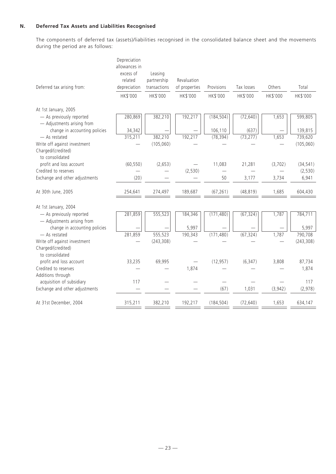# **N. Deferred Tax Assets and Liabilities Recognised**

The components of deferred tax (assets)/liabilities recognised in the consolidated balance sheet and the movements during the period are as follows:

|                                                        | Depreciation<br>allowances in |                        |               |            |            |          |            |
|--------------------------------------------------------|-------------------------------|------------------------|---------------|------------|------------|----------|------------|
|                                                        | excess of<br>related          | Leasing<br>partnership | Revaluation   |            |            |          |            |
| Deferred tax arising from:                             | depreciation                  | transactions           | of properties | Provisions | Tax losses | Others   | Total      |
|                                                        | HK\$'000                      | HK\$'000               | HK\$'000      | HK\$'000   | HK\$'000   | HK\$'000 | HK\$'000   |
| At 1st January, 2005                                   |                               |                        |               |            |            |          |            |
| - As previously reported<br>- Adjustments arising from | 280,869                       | 382,210                | 192,217       | (184, 504) | (72, 640)  | 1,653    | 599,805    |
| change in accounting policies                          | 34,342                        |                        |               | 106,110    | (637)      |          | 139,815    |
| - As restated                                          | 315,211                       | 382,210                | 192,217       | (78, 394)  | (73, 277)  | 1,653    | 739,620    |
| Write off against investment                           |                               | (105, 060)             |               |            |            |          | (105, 060) |
| Charged/(credited)<br>to consolidated                  |                               |                        |               |            |            |          |            |
| profit and loss account                                | (60, 550)                     | (2,653)                |               | 11,083     | 21,281     | (3,702)  | (34, 541)  |
| Credited to reserves                                   |                               |                        | (2,530)       |            |            |          | (2,530)    |
| Exchange and other adjustments                         | (20)                          |                        |               | 50         | 3,177      | 3,734    | 6,941      |
| At 30th June, 2005                                     | 254,641                       | 274,497                | 189,687       | (67, 261)  | (48, 819)  | 1,685    | 604,430    |
| At 1st January, 2004                                   |                               |                        |               |            |            |          |            |
| - As previously reported<br>- Adjustments arising from | 281,859                       | 555,523                | 184,346       | (171, 480) | (67, 324)  | 1,787    | 784,711    |
| change in accounting policies                          |                               |                        | 5,997         |            |            |          | 5,997      |
| - As restated                                          | 281,859                       | 555,523                | 190,343       | (171, 480) | (67, 324)  | 1,787    | 790,708    |
| Write off against investment                           |                               | (243, 308)             |               |            |            |          | (243, 308) |
| Charged/(credited)<br>to consolidated                  |                               |                        |               |            |            |          |            |
| profit and loss account                                | 33,235                        | 69,995                 |               | (12, 957)  | (6, 347)   | 3,808    | 87,734     |
| Credited to reserves                                   |                               |                        | 1,874         |            |            |          | 1,874      |
| Additions through                                      |                               |                        |               |            |            |          |            |
| acquisition of subsidiary                              | 117                           |                        |               |            |            |          | 117        |
| Exchange and other adjustments                         |                               |                        |               | (67)       | 1,031      | (3,942)  | (2,978)    |
| At 31st December, 2004                                 | 315,211                       | 382,210                | 192,217       | (184, 504) | (72, 640)  | 1,653    | 634,147    |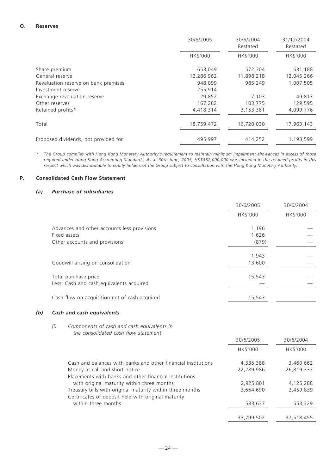## **O. Reserves**

|                                      | 30/6/2005  | 30/6/2004<br>Restated | 31/12/2004<br>Restated |
|--------------------------------------|------------|-----------------------|------------------------|
|                                      | HK\$'000   | HK\$'000              | HK\$'000               |
| Share premium                        | 653,049    | 572,304               | 631,188                |
| General reserve                      | 12,286,962 | 11,898,218            | 12,045,266             |
| Revaluation reserve on bank premises | 948,099    | 985,249               | 1,007,505              |
| Investment reserve                   | 255,914    |                       |                        |
| Exchange revaluation reserve         | 29,852     | 7,103                 | 49,813                 |
| Other reserves                       | 167,282    | 103,775               | 129,595                |
| Retained profits*                    | 4,418,314  | 3,153,381             | 4,099,776              |
| Total                                | 18,759,472 | 16,720,030            | 17,963,143             |
| Proposed dividends, not provided for | 495,997    | 414,252               | 1,193,599              |

*\* The Group complies with Hong Kong Monetary Authority's requirement to maintain minimum impairment allowances in excess of those required under Hong Kong Accounting Standards. As at 30th June, 2005, HK\$362,000,000 was included in the retained profits in this respect which was distributable to equity holders of the Group subject to consultation with the Hong Kong Monetary Authority.*

## **P. Consolidated Cash Flow Statement**

# *(a) Purchase of subsidiaries*

|                                                                                              | 30/6/2005               | 30/6/2004 |
|----------------------------------------------------------------------------------------------|-------------------------|-----------|
|                                                                                              | HK\$'000                | HK\$'000  |
| Advances and other accounts less provisions<br>Fixed assets<br>Other accounts and provisions | 1,196<br>1,626<br>(879) |           |
| Goodwill arising on consolidation                                                            | 1,943<br>13,600         |           |
| Total purchase price<br>Less: Cash and cash equivalents acquired                             | 15,543                  |           |
| Cash flow on acquisition net of cash acquired                                                | 15,543                  |           |

# *(b) Cash and cash equivalents*

# *(i) Components of cash and cash equivalents in the consolidated cash flow statement*

|                                                               | 30/6/2005       | 30/6/2004       |
|---------------------------------------------------------------|-----------------|-----------------|
|                                                               | <b>HK\$'000</b> | <b>HK\$'000</b> |
| Cash and balances with banks and other financial institutions | 4,335,388       | 3.460.662       |
| Money at call and short notice                                | 22,289,986      | 26,819,337      |
| Placements with banks and other financial institutions        |                 |                 |
| with original maturity within three months                    | 2,925,801       | 4,125,288       |
| Treasury bills with original maturity within three months     | 3,664,690       | 2,459,839       |
| Certificates of deposit held with original maturity           |                 |                 |
| within three months                                           | 583,637         | 653,329         |
|                                                               |                 |                 |
|                                                               | 33,799,502      | 37,518,455      |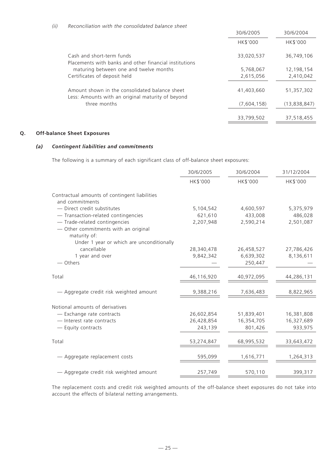|                                                                                                     | 30/6/2005       | 30/6/2004       |
|-----------------------------------------------------------------------------------------------------|-----------------|-----------------|
|                                                                                                     | <b>HK\$'000</b> | <b>HK\$'000</b> |
| Cash and short-term funds<br>Placements with banks and other financial institutions                 | 33,020,537      | 36,749,106      |
| maturing between one and twelve months                                                              | 5,768,067       | 12,198,154      |
| Certificates of deposit held                                                                        | 2,615,056       | 2,410,042       |
| Amount shown in the consolidated balance sheet<br>Less: Amounts with an original maturity of beyond | 41,403,660      | 51,357,302      |
| three months                                                                                        | (7,604,158)     | (13,838,847)    |
|                                                                                                     | 33,799,502      | 37,518,455      |

# **Q. Off-balance Sheet Exposures**

# *(a) Contingent liabilities and commitments*

The following is a summary of each significant class of off-balance sheet exposures:

|                                                      | 30/6/2005  | 30/6/2004       | 31/12/2004 |
|------------------------------------------------------|------------|-----------------|------------|
|                                                      | HK\$'000   | <b>HK\$'000</b> | HK\$'000   |
| Contractual amounts of contingent liabilities        |            |                 |            |
| and commitments                                      |            |                 |            |
| - Direct credit substitutes                          | 5,104,542  | 4,600,597       | 5,375,979  |
| - Transaction-related contingencies                  | 621,610    | 433,008         | 486,028    |
| - Trade-related contingencies                        | 2,207,948  | 2,590,214       | 2,501,087  |
| - Other commitments with an original<br>maturity of: |            |                 |            |
| Under 1 year or which are unconditionally            |            |                 |            |
| cancellable                                          | 28,340,478 | 26,458,527      | 27,786,426 |
| 1 year and over                                      | 9,842,342  | 6,639,302       | 8,136,611  |
| — Others                                             |            | 250,447         |            |
| Total                                                | 46,116,920 | 40,972,095      | 44,286,131 |
| - Aggregate credit risk weighted amount              | 9,388,216  | 7,636,483       | 8,822,965  |
| Notional amounts of derivatives                      |            |                 |            |
| - Exchange rate contracts                            | 26,602,854 | 51,839,401      | 16,381,808 |
| - Interest rate contracts                            |            |                 |            |
|                                                      | 26,428,854 | 16,354,705      | 16,327,689 |
| - Equity contracts                                   | 243,139    | 801,426         | 933,975    |
| Total                                                | 53,274,847 | 68,995,532      | 33,643,472 |
| - Aggregate replacement costs                        | 595,099    | 1,616,771       | 1,264,313  |
| - Aggregate credit risk weighted amount              | 257,749    | 570,110         | 399,317    |

The replacement costs and credit risk weighted amounts of the off-balance sheet exposures do not take into account the effects of bilateral netting arrangements.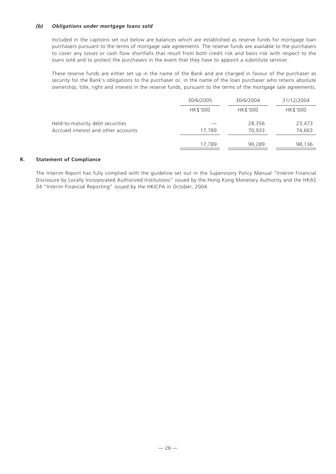# *(b) Obligations under mortgage loans sold*

Included in the captions set out below are balances which are established as reserve funds for mortgage loan purchasers pursuant to the terms of mortgage sale agreements. The reserve funds are available to the purchasers to cover any losses or cash flow shortfalls that result from both credit risk and basis risk with respect to the loans sold and to protect the purchasers in the event that they have to appoint a substitute servicer.

These reserve funds are either set up in the name of the Bank and are charged in favour of the purchaser as security for the Bank's obligations to the purchaser or, in the name of the loan purchaser who retains absolute ownership, title, right and interest in the reserve funds, pursuant to the terms of the mortgage sale agreements.

|                                                                         | 30/6/2005 | 30/6/2004        | 31/12/2004       |
|-------------------------------------------------------------------------|-----------|------------------|------------------|
|                                                                         | HK\$'000  | HK\$'000         | HK\$'000         |
| Held-to-maturity debt securities<br>Accrued interest and other accounts | 17,789    | 28,356<br>70,933 | 23,473<br>74,663 |
|                                                                         | 17,789    | 99,289           | 98,136           |

## **R. Statement of Compliance**

The Interim Report has fully complied with the guideline set out in the Supervisory Policy Manual "Interim Financial Disclosure by Locally Incorporated Authorized Institutions" issued by the Hong Kong Monetary Authority and the HKAS 34 "Interim Financial Reporting" issued by the HKICPA in October, 2004.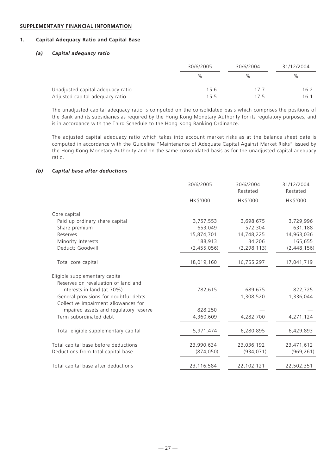#### **SUPPLEMENTARY FINANCIAL INFORMATION**

# **1. Capital Adequacy Ratio and Capital Base**

## *(a) Capital adequacy ratio*

|                                   | 30/6/2005 | 30/6/2004 | 31/12/2004 |
|-----------------------------------|-----------|-----------|------------|
|                                   | %         | $\%$      | $\%$       |
| Unadjusted capital adequacy ratio | 15.6      | 177       | 16.2       |
| Adjusted capital adequacy ratio   | 15.5      | 175       | 16.1       |

The unadjusted capital adequacy ratio is computed on the consolidated basis which comprises the positions of the Bank and its subsidiaries as required by the Hong Kong Monetary Authority for its regulatory purposes, and is in accordance with the Third Schedule to the Hong Kong Banking Ordinance.

The adjusted capital adequacy ratio which takes into account market risks as at the balance sheet date is computed in accordance with the Guideline "Maintenance of Adequate Capital Against Market Risks" issued by the Hong Kong Monetary Authority and on the same consolidated basis as for the unadjusted capital adequacy ratio.

## *(b) Capital base after deductions*

|                                        | 30/6/2005   | 30/6/2004<br>Restated | 31/12/2004<br>Restated |
|----------------------------------------|-------------|-----------------------|------------------------|
|                                        | HK\$'000    | HK\$'000              | HK\$'000               |
| Core capital                           |             |                       |                        |
| Paid up ordinary share capital         | 3,757,553   | 3,698,675             | 3,729,996              |
| Share premium                          | 653,049     | 572,304               | 631,188                |
| Reserves                               | 15,874,701  | 14,748,225            | 14,963,036             |
| Minority interests                     | 188,913     | 34,206                | 165,655                |
| Deduct: Goodwill                       | (2,455,056) | (2, 298, 113)         | (2, 448, 156)          |
| Total core capital                     | 18,019,160  | 16,755,297            | 17,041,719             |
| Eligible supplementary capital         |             |                       |                        |
| Reserves on revaluation of land and    |             |                       |                        |
| interests in land (at 70%)             | 782,615     | 689,675               | 822,725                |
| General provisions for doubtful debts  |             | 1,308,520             | 1,336,044              |
| Collective impairment allowances for   |             |                       |                        |
| impaired assets and regulatory reserve | 828,250     |                       |                        |
| Term subordinated debt                 | 4,360,609   | 4,282,700             | 4,271,124              |
| Total eligible supplementary capital   | 5,971,474   | 6,280,895             | 6,429,893              |
| Total capital base before deductions   | 23,990,634  | 23,036,192            | 23,471,612             |
| Deductions from total capital base     | (874, 050)  | (934, 071)            | (969, 261)             |
| Total capital base after deductions    | 23,116,584  | 22,102,121            | 22,502,351             |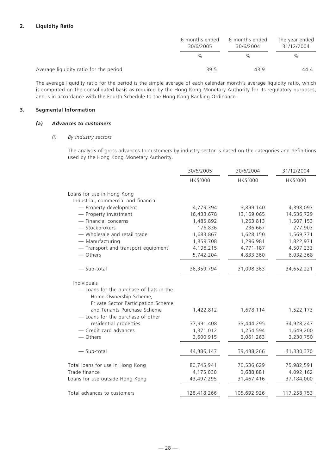# **2. Liquidity Ratio**

|                                        | 6 months ended<br>30/6/2005 | 6 months ended<br>30/6/2004 | The year ended<br>31/12/2004 |  |
|----------------------------------------|-----------------------------|-----------------------------|------------------------------|--|
|                                        | $\%$                        | $\frac{0}{0}$               | $\%$                         |  |
| Average liquidity ratio for the period | 39.5                        | 439                         | 44.4                         |  |

The average liquidity ratio for the period is the simple average of each calendar month's average liquidity ratio, which is computed on the consolidated basis as required by the Hong Kong Monetary Authority for its regulatory purposes, and is in accordance with the Fourth Schedule to the Hong Kong Banking Ordinance.

## **3. Segmental Information**

#### *(a) Advances to customers*

#### *(i) By industry sectors*

The analysis of gross advances to customers by industry sector is based on the categories and definitions used by the Hong Kong Monetary Authority.

|                                                                                                           | 30/6/2005   | 30/6/2004   | 31/12/2004  |  |
|-----------------------------------------------------------------------------------------------------------|-------------|-------------|-------------|--|
|                                                                                                           | HK\$'000    | HK\$'000    | HK\$'000    |  |
| Loans for use in Hong Kong                                                                                |             |             |             |  |
| Industrial, commercial and financial                                                                      |             |             |             |  |
| - Property development                                                                                    | 4,779,394   | 3,899,140   | 4,398,093   |  |
| - Property investment                                                                                     | 16,433,678  | 13,169,065  | 14,536,729  |  |
| - Financial concerns                                                                                      | 1,485,892   | 1,263,813   | 1,507,153   |  |
| - Stockbrokers                                                                                            | 176,836     | 236,667     | 277,903     |  |
| - Wholesale and retail trade                                                                              | 1,683,867   | 1,628,150   | 1,569,771   |  |
| - Manufacturing                                                                                           | 1,859,708   | 1,296,981   | 1,822,971   |  |
| - Transport and transport equipment                                                                       | 4,198,215   | 4,771,187   | 4,507,233   |  |
| — Others                                                                                                  | 5,742,204   | 4,833,360   | 6,032,368   |  |
| - Sub-total                                                                                               | 36,359,794  | 31,098,363  | 34,652,221  |  |
| Individuals                                                                                               |             |             |             |  |
| - Loans for the purchase of flats in the<br>Home Ownership Scheme,<br>Private Sector Participation Scheme |             |             |             |  |
| and Tenants Purchase Scheme<br>- Loans for the purchase of other                                          | 1,422,812   | 1,678,114   | 1,522,173   |  |
| residential properties                                                                                    | 37,991,408  | 33,444,295  | 34,928,247  |  |
| - Credit card advances                                                                                    | 1,371,012   | 1,254,594   | 1,649,200   |  |
| - Others                                                                                                  | 3,600,915   | 3,061,263   | 3,230,750   |  |
| - Sub-total                                                                                               | 44,386,147  | 39,438,266  | 41,330,370  |  |
| Total loans for use in Hong Kong                                                                          | 80,745,941  | 70,536,629  | 75,982,591  |  |
| Trade finance                                                                                             | 4,175,030   | 3,688,881   | 4,092,162   |  |
| Loans for use outside Hong Kong                                                                           | 43,497,295  | 31,467,416  | 37,184,000  |  |
| Total advances to customers                                                                               | 128,418,266 | 105,692,926 | 117,258,753 |  |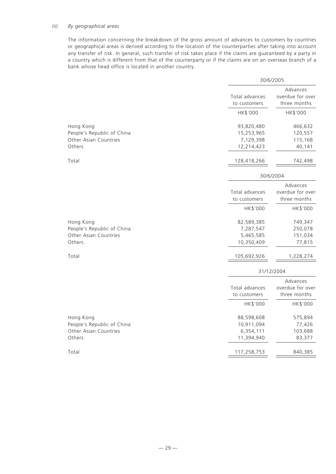## *(ii) By geographical areas*

The information concerning the breakdown of the gross amount of advances to customers by countries or geographical areas is derived according to the location of the counterparties after taking into account any transfer of risk. In general, such transfer of risk takes place if the claims are guaranteed by a party in a country which is different from that of the counterparty or if the claims are on an overseas branch of a bank whose head office is located in another country.

|                                                                            |                                                     | 30/6/2005                                                |
|----------------------------------------------------------------------------|-----------------------------------------------------|----------------------------------------------------------|
|                                                                            | Total advances<br>to customers                      | Advances<br>overdue for over<br>three months             |
|                                                                            | HK\$'000                                            | HK\$'000                                                 |
| Hong Kong<br>People's Republic of China<br>Other Asian Countries<br>Others | 93,820,480<br>15,253,965<br>7,129,398<br>12,214,423 | 466,632<br>120,557<br>115,168<br>40,141                  |
| Total                                                                      | 128,418,266                                         | 742,498                                                  |
|                                                                            |                                                     | 30/6/2004                                                |
|                                                                            | Total advances<br>to customers                      | Advances<br>overdue for over<br>three months             |
|                                                                            | HK\$'000                                            | HK\$'000                                                 |
| Hong Kong<br>People's Republic of China<br>Other Asian Countries<br>Others | 82,589,385<br>7,287,547<br>5,465,585<br>10,350,409  | 749,347<br>250,078<br>151,034<br>77,815                  |
| Total                                                                      | 105,692,926                                         | 1,228,274                                                |
|                                                                            |                                                     | 31/12/2004                                               |
|                                                                            | Total advances<br>to customers<br>HK\$'000          | Advances<br>overdue for over<br>three months<br>HK\$'000 |
| Hong Kong<br>People's Republic of China<br>Other Asian Countries<br>Others | 88,598,608<br>10,911,094<br>6,354,111<br>11,394,940 | 575,894<br>77,426<br>103,688<br>83,377                   |
| Total                                                                      | 117,258,753                                         | 840,385                                                  |
|                                                                            |                                                     |                                                          |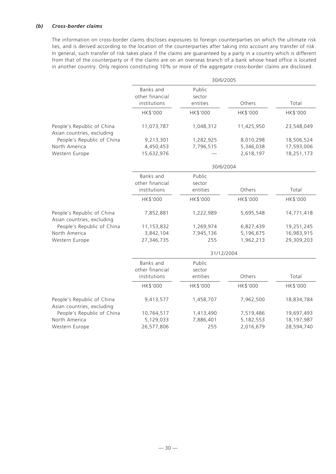# *(b) Cross-border claims*

The information on cross-border claims discloses exposures to foreign counterparties on which the ultimate risk lies, and is derived according to the location of the counterparties after taking into account any transfer of risk. In general, such transfer of risk takes place if the claims are guaranteed by a party in a country which is different from that of the counterparty or if the claims are on an overseas branch of a bank whose head office is located in another country. Only regions constituting 10% or more of the aggregate cross-border claims are disclosed.

|                                                          | 30/6/2005                                    |                              |            |            |  |  |  |  |
|----------------------------------------------------------|----------------------------------------------|------------------------------|------------|------------|--|--|--|--|
|                                                          | Banks and<br>other financial<br>institutions | Public<br>sector<br>entities | Others     | Total      |  |  |  |  |
|                                                          | HK\$'000                                     | HK\$'000                     | HK\$'000   | HK\$'000   |  |  |  |  |
| People's Republic of China<br>Asian countries, excluding | 11,073,787                                   | 1,048,312                    | 11,425,950 | 23,548,049 |  |  |  |  |
| People's Republic of China                               | 9,213,301                                    | 1,282,925                    | 8,010,298  | 18,506,524 |  |  |  |  |
| North America                                            | 4,450,453                                    | 7,796,515                    | 5,346,038  | 17,593,006 |  |  |  |  |
| Western Europe                                           | 15,632,976                                   |                              | 2,618,197  | 18,251,173 |  |  |  |  |
|                                                          |                                              | 30/6/2004                    |            |            |  |  |  |  |
|                                                          | Banks and<br>other financial                 | Public<br>sector             |            |            |  |  |  |  |
|                                                          | institutions                                 | entities                     | Others     | Total      |  |  |  |  |
|                                                          | HK\$'000                                     | HK\$'000                     | HK\$'000   | HK\$'000   |  |  |  |  |
| People's Republic of China<br>Asian countries, excluding | 7,852,881                                    | 1,222,989                    | 5,695,548  | 14,771,418 |  |  |  |  |
| People's Republic of China                               | 11,153,832                                   | 1,269,974                    | 6,827,439  | 19,251,245 |  |  |  |  |
| North America                                            | 3,842,104                                    | 7,945,136                    | 5,196,675  | 16,983,915 |  |  |  |  |
| Western Europe                                           | 27,346,735                                   | 255                          | 1,962,213  | 29,309,203 |  |  |  |  |
|                                                          | 31/12/2004                                   |                              |            |            |  |  |  |  |
|                                                          | Banks and<br>other financial                 | Public<br>sector             |            |            |  |  |  |  |
|                                                          | institutions                                 | entities                     | Others     | Total      |  |  |  |  |
|                                                          | HK\$'000                                     | HK\$'000                     | HK\$'000   | HK\$'000   |  |  |  |  |
| People's Republic of China<br>Asian countries, excluding | 9,413,577                                    | 1,458,707                    | 7,962,500  | 18,834,784 |  |  |  |  |
| People's Republic of China                               | 10,764,517                                   | 1,413,490                    | 7,519,486  | 19,697,493 |  |  |  |  |
| North America                                            | 5,129,033                                    | 7,886,401                    | 5,182,553  | 18,197,987 |  |  |  |  |
| Western Europe                                           | 26,577,806                                   | 255                          | 2,016,679  | 28,594,740 |  |  |  |  |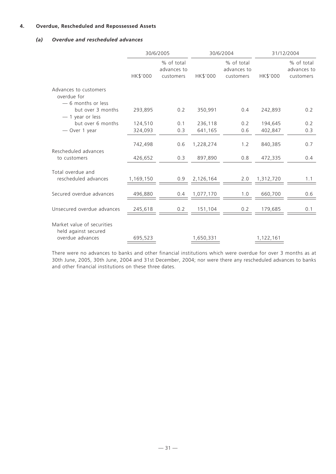# **4. Overdue, Rescheduled and Repossessed Assets**

# *(a) Overdue and rescheduled advances*

|                                                                        | 30/6/2005          |                                        | 30/6/2004            |                                        | 31/12/2004         |                                        |
|------------------------------------------------------------------------|--------------------|----------------------------------------|----------------------|----------------------------------------|--------------------|----------------------------------------|
|                                                                        | HK\$'000           | % of total<br>advances to<br>customers | HK\$'000             | % of total<br>advances to<br>customers | HK\$'000           | % of total<br>advances to<br>customers |
| Advances to customers<br>overdue for<br>-6 months or less              |                    |                                        |                      |                                        |                    |                                        |
| but over 3 months<br>$-1$ year or less                                 | 293,895            | 0.2                                    | 350,991              | 0.4                                    | 242,893            | 0.2                                    |
| but over 6 months                                                      | 124,510            | 0.1                                    | 236,118              | 0.2                                    | 194,645            | 0.2                                    |
| - Over 1 year                                                          | 324,093            | 0.3                                    | 641,165              | 0.6                                    | 402,847            | 0.3                                    |
| Rescheduled advances<br>to customers                                   | 742,498<br>426,652 | 0.6<br>0.3                             | 1,228,274<br>897,890 | 1.2<br>0.8                             | 840,385<br>472,335 | 0.7<br>0.4                             |
| Total overdue and<br>rescheduled advances                              | 1,169,150          | 0.9                                    | 2,126,164            | 2.0                                    | 1,312,720          | 1.1                                    |
| Secured overdue advances                                               | 496,880            | 0.4                                    | 1,077,170            | 1.0                                    | 660,700            | 0.6                                    |
| Unsecured overdue advances                                             | 245,618            | 0.2                                    | 151,104              | 0.2                                    | 179,685            | 0.1                                    |
| Market value of securities<br>held against secured<br>overdue advances | 695,523            |                                        | 1,650,331            |                                        | 1,122,161          |                                        |

There were no advances to banks and other financial institutions which were overdue for over 3 months as at 30th June, 2005, 30th June, 2004 and 31st December, 2004; nor were there any rescheduled advances to banks and other financial institutions on these three dates.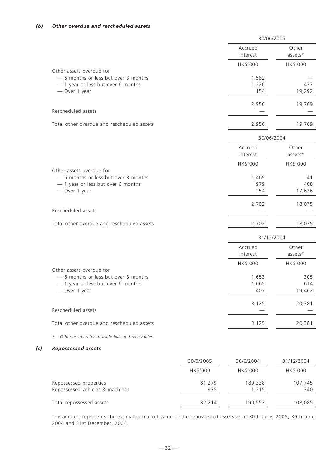*(c) Repossessed assets*

|                                                                                                                         |               | 30/06/2005            |                      |  |
|-------------------------------------------------------------------------------------------------------------------------|---------------|-----------------------|----------------------|--|
|                                                                                                                         |               | Accrued<br>interest   | Other<br>assets*     |  |
|                                                                                                                         |               | HK\$'000              | HK\$'000             |  |
| Other assets overdue for<br>- 6 months or less but over 3 months<br>- 1 year or less but over 6 months<br>- Over 1 year |               | 1,582<br>1,220<br>154 | 477<br>19,292        |  |
| Rescheduled assets                                                                                                      |               | 2,956                 | 19,769               |  |
| Total other overdue and rescheduled assets                                                                              |               | 2,956                 | 19,769               |  |
|                                                                                                                         |               | 30/06/2004            |                      |  |
|                                                                                                                         |               | Accrued<br>interest   | Other<br>assets*     |  |
|                                                                                                                         |               | HK\$'000              | HK\$'000             |  |
| Other assets overdue for<br>- 6 months or less but over 3 months<br>- 1 year or less but over 6 months<br>- Over 1 year |               | 1,469<br>979<br>254   | 41<br>408<br>17,626  |  |
|                                                                                                                         |               | 2,702                 | 18,075               |  |
| Rescheduled assets                                                                                                      |               |                       |                      |  |
| Total other overdue and rescheduled assets                                                                              |               | 2,702                 | 18,075               |  |
|                                                                                                                         |               | 31/12/2004            |                      |  |
|                                                                                                                         |               | Accrued<br>interest   | Other<br>assets*     |  |
|                                                                                                                         |               | HK\$'000              | HK\$'000             |  |
| Other assets overdue for<br>- 6 months or less but over 3 months<br>- 1 year or less but over 6 months<br>- Over 1 year |               | 1,653<br>1,065<br>407 | 305<br>614<br>19,462 |  |
| Rescheduled assets                                                                                                      |               | 3,125                 | 20,381               |  |
| Total other overdue and rescheduled assets                                                                              |               | 3,125                 | 20,381               |  |
| Other assets refer to trade bills and receivables.                                                                      |               |                       |                      |  |
| <b>Repossessed assets</b>                                                                                               |               |                       |                      |  |
|                                                                                                                         | 30/6/2005     | 30/6/2004             | 31/12/2004           |  |
|                                                                                                                         | HK\$'000      | HK\$'000              | HK\$'000             |  |
| Repossessed properties<br>Repossessed vehicles & machines                                                               | 81,279<br>935 | 189,338<br>1,215      | 107,745<br>340       |  |
| Total repossessed assets                                                                                                | 82,214        | 190,553               | 108,085              |  |

The amount represents the estimated market value of the repossessed assets as at 30th June, 2005, 30th June, 2004 and 31st December, 2004.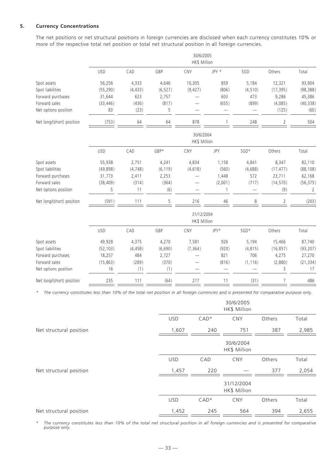## **5. Currency Concentrations**

The net positions or net structural positions in foreign currencies are disclosed when each currency constitutes 10% or more of the respective total net position or total net structural position in all foreign currencies.

|                           | 30/6/2005<br>HK\$ Million |          |          |                            |            |          |            |           |
|---------------------------|---------------------------|----------|----------|----------------------------|------------|----------|------------|-----------|
|                           | <b>USD</b>                | CAD      | GBP      | CNY                        | JPY *      | SGD      | Others     | Total     |
| Spot assets               | 56,256                    | 4,333    | 4,646    | 10,305                     | 859        | 5,184    | 12,321     | 93,904    |
| Spot liabilities          | (55, 290)                 | (4, 433) | (6, 527) | (9, 427)                   | (806)      | (4, 510) | (17, 395)  | (98, 388) |
| Forward purchases         | 31,644                    | 623      | 2,757    |                            | 603        | 473      | 9,286      | 45,386    |
| Forward sales             | (33, 446)                 | (436)    | (817)    |                            | (655)      | (899)    | (4,085)    | (40, 338) |
| Net options position      | 83                        | (23)     | 5        |                            |            |          | (125)      | (60)      |
| Net long/(short) position | (753)                     | 64       | 64       | 878                        |            | 248      | $\sqrt{2}$ | 504       |
|                           |                           |          |          | 30/6/2004<br>HK\$ Million  |            |          |            |           |
|                           | <b>USD</b>                | CAD      | GBP*     | CNY                        | <b>JPY</b> | SGD*     | Others     | Total     |
| Spot assets               | 55,938                    | 2,751    | 4,241    | 4,834                      | 1,158      | 4,841    | 8,347      | 82,110    |
| Spot liabilities          | (49, 898)                 | (4, 748) | (6, 119) | (4,618)                    | (560)      | (4,688)  | (17, 477)  | (88, 108) |
| Forward purchases         | 31,773                    | 2,411    | 2,253    |                            | 1,448      | 572      | 23,711     | 62,168    |
| Forward sales             | (38, 409)                 | (314)    | (364)    | —                          | (2,001)    | (717)    | (14, 570)  | (56, 375) |
| Net options position      | 5                         | 11       | (6)      |                            | 1          |          | (9)        | 2         |
| Net long/(short) position | (591)                     | 111      | 5        | 216                        | 46         | 8        | 2          | (203)     |
|                           |                           |          |          | 31/12/2004<br>HK\$ Million |            |          |            |           |
|                           | <b>USD</b>                | CAD      | GBP      | CNY                        | JPY*       | SGD*     | Others     | Total     |
| Spot assets               | 49,928                    | 4,375    | 4,270    | 7,581                      | 926        | 5,194    | 15,466     | 87,740    |
| Spot liabilities          | (52, 103)                 | (4, 458) | (6,690)  | (7, 364)                   | (920)      | (4, 815) | (16, 857)  | (93, 207) |
| Forward purchases         | 18,257                    | 484      | 2,727    |                            | 821        | 706      | 4,275      | 27,270    |
| Forward sales             | (15, 863)                 | (289)    | (370)    |                            | (816)      | (1, 116) | (2,880)    | (21, 334) |
| Net options position      | 16                        | (1)      | (1)      |                            |            |          | 3          | 17        |
| Net long/(short) position | 235                       | 111      | (64)     | 217                        | 11         | (31)     |            | 486       |

*\* The currency constitutes less than 10% of the total net position in all foreign currencies and is presented for comparative purpose only.*

|                         |            |        | 30/6/2005<br>HK\$ Million  |        |       |
|-------------------------|------------|--------|----------------------------|--------|-------|
|                         | <b>USD</b> | $CAD*$ | <b>CNY</b>                 | Others | Total |
| Net structural position | 1,607      | 240    | 751                        | 387    | 2,985 |
|                         |            |        | 30/6/2004<br>HK\$ Million  |        |       |
|                         | <b>USD</b> | CAD    | <b>CNY</b>                 | Others | Total |
| Net structural position | 1,457      | 220    |                            | 377    | 2,054 |
|                         |            |        | 31/12/2004<br>HK\$ Million |        |       |
|                         | <b>USD</b> | $CAD*$ | <b>CNY</b>                 | Others | Total |
| Net structural position | 1,452      | 245    | 564                        | 394    | 2,655 |

*\* The currency constitutes less than 10% of the total net structural position in all foreign currencies and is presented for comparative purpose only.*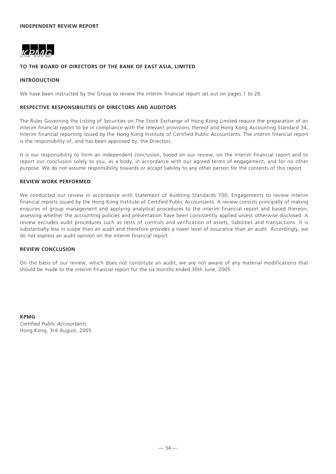

## **TO THE BOARD OF DIRECTORS OF THE BANK OF EAST ASIA, LIMITED**

# **INTRODUCTION**

We have been instructed by the Group to review the interim financial report set out on pages 1 to 26.

#### **RESPECTIVE RESPONSIBILITIES OF DIRECTORS AND AUDITORS**

The Rules Governing the Listing of Securities on The Stock Exchange of Hong Kong Limited require the preparation of an interim financial report to be in compliance with the relevant provisions thereof and Hong Kong Accounting Standard 34, Interim financial reporting issued by the Hong Kong Institute of Certified Public Accountants. The interim financial report is the responsibility of, and has been approved by, the Directors.

It is our responsibility to form an independent conclusion, based on our review, on the interim financial report and to report our conclusion solely to you, as a body, in accordance with our agreed terms of engagement, and for no other purpose. We do not assume responsibility towards or accept liability to any other person for the contents of this report.

#### **REVIEW WORK PERFORMED**

We conducted our review in accordance with Statement of Auditing Standards 700, Engagements to review interim financial reports issued by the Hong Kong Institute of Certified Public Accountants. A review consists principally of making enquires of group management and applying analytical procedures to the interim financial report and based thereon, assessing whether the accounting policies and presentation have been consistently applied unless otherwise disclosed. A review excludes audit procedures such as tests of controls and verification of assets, liabilities and transactions. It is substantially less in scope than an audit and therefore provides a lower level of assurance than an audit. Accordingly, we do not express an audit opinion on the interim financial report.

#### **REVIEW CONCLUSION**

On the basis of our review, which does not constitute an audit, we are not aware of any material modifications that should be made to the interim financial report for the six months ended 30th June, 2005.

**KPMG** *Certified Public Accountants* Hong Kong, 3rd August, 2005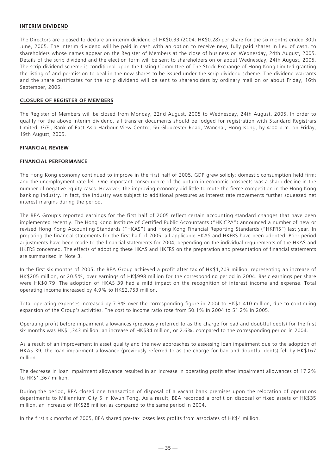#### **INTERIM DIVIDEND**

The Directors are pleased to declare an interim dividend of HK\$0.33 (2004: HK\$0.28) per share for the six months ended 30th June, 2005. The interim dividend will be paid in cash with an option to receive new, fully paid shares in lieu of cash, to shareholders whose names appear on the Register of Members at the close of business on Wednesday, 24th August, 2005. Details of the scrip dividend and the election form will be sent to shareholders on or about Wednesday, 24th August, 2005. The scrip dividend scheme is conditional upon the Listing Committee of The Stock Exchange of Hong Kong Limited granting the listing of and permission to deal in the new shares to be issued under the scrip dividend scheme. The dividend warrants and the share certificates for the scrip dividend will be sent to shareholders by ordinary mail on or about Friday, 16th September, 2005.

#### **CLOSURE OF REGISTER OF MEMBERS**

The Register of Members will be closed from Monday, 22nd August, 2005 to Wednesday, 24th August, 2005. In order to qualify for the above interim dividend, all transfer documents should be lodged for registration with Standard Registrars Limited, G/F., Bank of East Asia Harbour View Centre, 56 Gloucester Road, Wanchai, Hong Kong, by 4:00 p.m. on Friday, 19th August, 2005.

#### **FINANCIAL REVIEW**

#### **FINANCIAL PERFORMANCE**

The Hong Kong economy continued to improve in the first half of 2005. GDP grew solidly; domestic consumption held firm; and the unemployment rate fell. One important consequence of the upturn in economic prospects was a sharp decline in the number of negative equity cases. However, the improving economy did little to mute the fierce competition in the Hong Kong banking industry. In fact, the industry was subject to additional pressures as interest rate movements further squeezed net interest margins during the period.

The BEA Group's reported earnings for the first half of 2005 reflect certain accounting standard changes that have been implemented recently. The Hong Kong Institute of Certified Public Accountants ("HKICPA") announced a number of new or revised Hong Kong Accounting Standards ("HKAS") and Hong Kong Financial Reporting Standards ("HKFRS") last year. In preparing the financial statements for the first half of 2005, all applicable HKAS and HKFRS have been adopted. Prior period adjustments have been made to the financial statements for 2004, depending on the individual requirements of the HKAS and HKFRS concerned. The effects of adopting these HKAS and HKFRS on the preparation and presentation of financial statements are summarised in Note 3.

In the first six months of 2005, the BEA Group achieved a profit after tax of HK\$1,203 million, representing an increase of HK\$205 million, or 20.5%, over earnings of HK\$998 million for the corresponding period in 2004. Basic earnings per share were HK\$0.79. The adoption of HKAS 39 had a mild impact on the recognition of interest income and expense. Total operating income increased by 4.9% to HK\$2,753 million.

Total operating expenses increased by 7.3% over the corresponding figure in 2004 to HK\$1,410 million, due to continuing expansion of the Group's activities. The cost to income ratio rose from 50.1% in 2004 to 51.2% in 2005.

Operating profit before impairment allowances (previously referred to as the charge for bad and doubtful debts) for the first six months was HK\$1,343 million, an increase of HK\$34 million, or 2.6%, compared to the corresponding period in 2004.

As a result of an improvement in asset quality and the new approaches to assessing loan impairment due to the adoption of HKAS 39, the loan impairment allowance (previously referred to as the charge for bad and doubtful debts) fell by HK\$167 million.

The decrease in loan impairment allowance resulted in an increase in operating profit after impairment allowances of 17.2% to HK\$1,367 million.

During the period, BEA closed one transaction of disposal of a vacant bank premises upon the relocation of operations departments to Millennium City 5 in Kwun Tong. As a result, BEA recorded a profit on disposal of fixed assets of HK\$35 million, an increase of HK\$28 million as compared to the same period in 2004.

In the first six months of 2005, BEA shared pre-tax losses less profits from associates of HK\$4 million.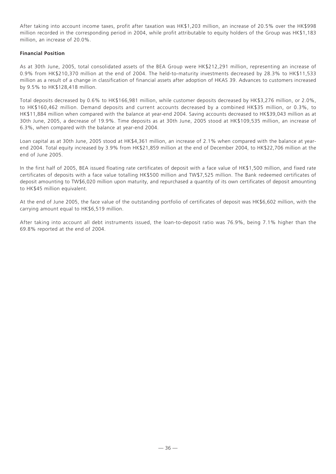After taking into account income taxes, profit after taxation was HK\$1,203 million, an increase of 20.5% over the HK\$998 million recorded in the corresponding period in 2004, while profit attributable to equity holders of the Group was HK\$1,183 million, an increase of 20.0%.

## **Financial Position**

As at 30th June, 2005, total consolidated assets of the BEA Group were HK\$212,291 million, representing an increase of 0.9% from HK\$210,370 million at the end of 2004. The held-to-maturity investments decreased by 28.3% to HK\$11,533 million as a result of a change in classification of financial assets after adoption of HKAS 39. Advances to customers increased by 9.5% to HK\$128,418 million.

Total deposits decreased by 0.6% to HK\$166,981 million, while customer deposits decreased by HK\$3,276 million, or 2.0%, to HK\$160,462 million. Demand deposits and current accounts decreased by a combined HK\$35 million, or 0.3%, to HK\$11,884 million when compared with the balance at year-end 2004. Saving accounts decreased to HK\$39,043 million as at 30th June, 2005, a decrease of 19.9%. Time deposits as at 30th June, 2005 stood at HK\$109,535 million, an increase of 6.3%, when compared with the balance at year-end 2004.

Loan capital as at 30th June, 2005 stood at HK\$4,361 million, an increase of 2.1% when compared with the balance at yearend 2004. Total equity increased by 3.9% from HK\$21,859 million at the end of December 2004, to HK\$22,706 million at the end of June 2005.

In the first half of 2005, BEA issued floating rate certificates of deposit with a face value of HK\$1,500 million, and fixed rate certificates of deposits with a face value totalling HK\$500 million and TW\$7,525 million. The Bank redeemed certificates of deposit amounting to TW\$6,020 million upon maturity, and repurchased a quantity of its own certificates of deposit amounting to HK\$45 million equivalent.

At the end of June 2005, the face value of the outstanding portfolio of certificates of deposit was HK\$6,602 million, with the carrying amount equal to HK\$6,519 million.

After taking into account all debt instruments issued, the loan-to-deposit ratio was 76.9%, being 7.1% higher than the 69.8% reported at the end of 2004.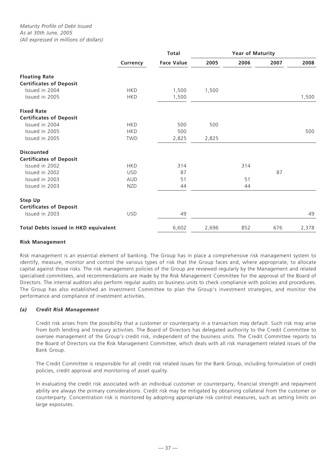|                                             | <b>Total</b> |                   |       | <b>Year of Maturity</b> |      |       |  |
|---------------------------------------------|--------------|-------------------|-------|-------------------------|------|-------|--|
|                                             | Currency     | <b>Face Value</b> | 2005  | 2006                    | 2007 | 2008  |  |
| <b>Floating Rate</b>                        |              |                   |       |                         |      |       |  |
| <b>Certificates of Deposit</b>              |              |                   |       |                         |      |       |  |
| Issued in 2004                              | <b>HKD</b>   | 1,500             | 1,500 |                         |      |       |  |
| Issued in 2005                              | <b>HKD</b>   | 1,500             |       |                         |      | 1,500 |  |
| <b>Fixed Rate</b>                           |              |                   |       |                         |      |       |  |
| <b>Certificates of Deposit</b>              |              |                   |       |                         |      |       |  |
| Issued in 2004                              | <b>HKD</b>   | 500               | 500   |                         |      |       |  |
| Issued in 2005                              | <b>HKD</b>   | 500               |       |                         |      | 500   |  |
| Issued in 2005                              | <b>TWD</b>   | 2,825             | 2,825 |                         |      |       |  |
| <b>Discounted</b>                           |              |                   |       |                         |      |       |  |
| <b>Certificates of Deposit</b>              |              |                   |       |                         |      |       |  |
| Issued in 2002                              | <b>HKD</b>   | 314               |       | 314                     |      |       |  |
| Issued in 2002                              | <b>USD</b>   | 87                |       |                         | 87   |       |  |
| Issued in 2003                              | <b>AUD</b>   | 51                |       | 51                      |      |       |  |
| Issued in 2003                              | <b>NZD</b>   | 44                |       | 44                      |      |       |  |
| <b>Step Up</b>                              |              |                   |       |                         |      |       |  |
| <b>Certificates of Deposit</b>              |              |                   |       |                         |      |       |  |
| Issued in 2003                              | <b>USD</b>   | 49                |       |                         |      | 49    |  |
| <b>Total Debts issued in HKD equivalent</b> |              | 6,602             | 2,696 | 852                     | 676  | 2,378 |  |

## **Risk Management**

Risk management is an essential element of banking. The Group has in place a comprehensive risk management system to identify, measure, monitor and control the various types of risk that the Group faces and, where appropriate, to allocate capital against those risks. The risk management policies of the Group are reviewed regularly by the Management and related specialised committees, and recommendations are made by the Risk Management Committee for the approval of the Board of Directors. The internal auditors also perform regular audits on business units to check compliance with policies and procedures. The Group has also established an Investment Committee to plan the Group's investment strategies, and monitor the performance and compliance of investment activities.

# *(a) Credit Risk Management*

Credit risk arises from the possibility that a customer or counterparty in a transaction may default. Such risk may arise from both lending and treasury activities. The Board of Directors has delegated authority to the Credit Committee to oversee management of the Group's credit risk, independent of the business units. The Credit Committee reports to the Board of Directors via the Risk Management Committee, which deals with all risk management related issues of the Bank Group.

The Credit Committee is responsible for all credit risk related issues for the Bank Group, including formulation of credit policies, credit approval and monitoring of asset quality.

In evaluating the credit risk associated with an individual customer or counterparty, financial strength and repayment ability are always the primary considerations. Credit risk may be mitigated by obtaining collateral from the customer or counterparty. Concentration risk is monitored by adopting appropriate risk control measures, such as setting limits on large exposures.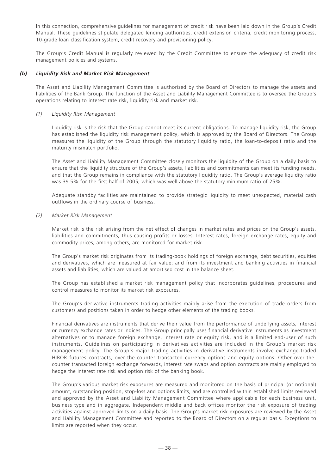In this connection, comprehensive guidelines for management of credit risk have been laid down in the Group's Credit Manual. These guidelines stipulate delegated lending authorities, credit extension criteria, credit monitoring process, 10-grade loan classification system, credit recovery and provisioning policy.

The Group's Credit Manual is regularly reviewed by the Credit Committee to ensure the adequacy of credit risk management policies and systems.

## *(b) Liquidity Risk and Market Risk Management*

The Asset and Liability Management Committee is authorised by the Board of Directors to manage the assets and liabilities of the Bank Group. The function of the Asset and Liability Management Committee is to oversee the Group's operations relating to interest rate risk, liquidity risk and market risk.

# *(1) Liquidity Risk Management*

Liquidity risk is the risk that the Group cannot meet its current obligations. To manage liquidity risk, the Group has established the liquidity risk management policy, which is approved by the Board of Directors. The Group measures the liquidity of the Group through the statutory liquidity ratio, the loan-to-deposit ratio and the maturity mismatch portfolio.

The Asset and Liability Management Committee closely monitors the liquidity of the Group on a daily basis to ensure that the liquidity structure of the Group's assets, liabilities and commitments can meet its funding needs, and that the Group remains in compliance with the statutory liquidity ratio. The Group's average liquidity ratio was 39.5% for the first half of 2005, which was well above the statutory minimum ratio of 25%.

Adequate standby facilities are maintained to provide strategic liquidity to meet unexpected, material cash outflows in the ordinary course of business.

## *(2) Market Risk Management*

Market risk is the risk arising from the net effect of changes in market rates and prices on the Group's assets, liabilities and commitments, thus causing profits or losses. Interest rates, foreign exchange rates, equity and commodity prices, among others, are monitored for market risk.

The Group's market risk originates from its trading-book holdings of foreign exchange, debt securities, equities and derivatives, which are measured at fair value; and from its investment and banking activities in financial assets and liabilities, which are valued at amortised cost in the balance sheet.

The Group has established a market risk management policy that incorporates guidelines, procedures and control measures to monitor its market risk exposures.

The Group's derivative instruments trading activities mainly arise from the execution of trade orders from customers and positions taken in order to hedge other elements of the trading books.

Financial derivatives are instruments that derive their value from the performance of underlying assets, interest or currency exchange rates or indices. The Group principally uses financial derivative instruments as investment alternatives or to manage foreign exchange, interest rate or equity risk, and is a limited end-user of such instruments. Guidelines on participating in derivatives activities are included in the Group's market risk management policy. The Group's major trading activities in derivative instruments involve exchange-traded HIBOR futures contracts, over-the-counter transacted currency options and equity options. Other over-thecounter transacted foreign exchange forwards, interest rate swaps and option contracts are mainly employed to hedge the interest rate risk and option risk of the banking book.

The Group's various market risk exposures are measured and monitored on the basis of principal (or notional) amount, outstanding position, stop-loss and options limits, and are controlled within established limits reviewed and approved by the Asset and Liability Management Committee where applicable for each business unit, business type and in aggregate. Independent middle and back offices monitor the risk exposure of trading activities against approved limits on a daily basis. The Group's market risk exposures are reviewed by the Asset and Liability Management Committee and reported to the Board of Directors on a regular basis. Exceptions to limits are reported when they occur.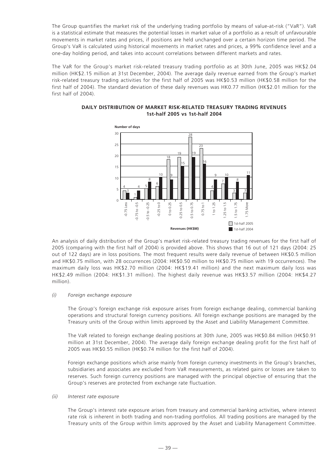The Group quantifies the market risk of the underlying trading portfolio by means of value-at-risk ("VaR"). VaR is a statistical estimate that measures the potential losses in market value of a portfolio as a result of unfavourable movements in market rates and prices, if positions are held unchanged over a certain horizon time period. The Group's VaR is calculated using historical movements in market rates and prices, a 99% confidence level and a one-day holding period, and takes into account correlations between different markets and rates.

The VaR for the Group's market risk-related treasury trading portfolio as at 30th June, 2005 was HK\$2.04 million (HK\$2.15 million at 31st December, 2004). The average daily revenue earned from the Group's market risk-related treasury trading activities for the first half of 2005 was HK\$0.53 million (HK\$0.58 million for the first half of 2004). The standard deviation of these daily revenues was HK0.77 million (HK\$2.01 million for the first half of 2004).



## **DAILY DISTRIBUTION OF MARKET RISK-RELATED TREASURY TRADING REVENUES 1st-half 2005 vs 1st-half 2004**

An analysis of daily distribution of the Group's market risk-related treasury trading revenues for the first half of 2005 (comparing with the first half of 2004) is provided above. This shows that 16 out of 121 days (2004: 25 out of 122 days) are in loss positions. The most frequent results were daily revenue of between HK\$0.5 million and HK\$0.75 million, with 28 occurrences (2004: HK\$0.50 million to HK\$0.75 million with 19 occurrences). The maximum daily loss was HK\$2.70 million (2004: HK\$19.41 million) and the next maximum daily loss was HK\$2.49 million (2004: HK\$1.31 million). The highest daily revenue was HK\$3.57 million (2004: HK\$4.27 million).

## *(i) Foreign exchange exposure*

The Group's foreign exchange risk exposure arises from foreign exchange dealing, commercial banking operations and structural foreign currency positions. All foreign exchange positions are managed by the Treasury units of the Group within limits approved by the Asset and Liability Management Committee.

The VaR related to foreign exchange dealing positions at 30th June, 2005 was HK\$0.84 million (HK\$0.91 million at 31st December, 2004). The average daily foreign exchange dealing profit for the first half of 2005 was HK\$0.55 million (HK\$0.74 million for the first half of 2004).

Foreign exchange positions which arise mainly from foreign currency investments in the Group's branches, subsidiaries and associates are excluded from VaR measurements, as related gains or losses are taken to reserves. Such foreign currency positions are managed with the principal objective of ensuring that the Group's reserves are protected from exchange rate fluctuation.

## *(ii) Interest rate exposure*

The Group's interest rate exposure arises from treasury and commercial banking activities, where interest rate risk is inherent in both trading and non-trading portfolios. All trading positions are managed by the Treasury units of the Group within limits approved by the Asset and Liability Management Committee.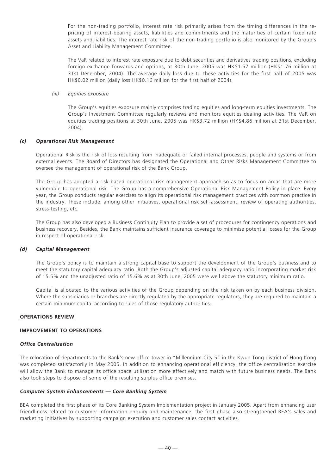For the non-trading portfolio, interest rate risk primarily arises from the timing differences in the repricing of interest-bearing assets, liabilities and commitments and the maturities of certain fixed rate assets and liabilities. The interest rate risk of the non-trading portfolio is also monitored by the Group's Asset and Liability Management Committee.

The VaR related to interest rate exposure due to debt securities and derivatives trading positions, excluding foreign exchange forwards and options, at 30th June, 2005 was HK\$1.57 million (HK\$1.76 million at 31st December, 2004). The average daily loss due to these activities for the first half of 2005 was HK\$0.02 million (daily loss HK\$0.16 million for the first half of 2004).

*(iii) Equities exposure*

The Group's equities exposure mainly comprises trading equities and long-term equities investments. The Group's Investment Committee regularly reviews and monitors equities dealing activities. The VaR on equities trading positions at 30th June, 2005 was HK\$3.72 million (HK\$4.86 million at 31st December, 2004).

#### *(c) Operational Risk Management*

Operational Risk is the risk of loss resulting from inadequate or failed internal processes, people and systems or from external events. The Board of Directors has designated the Operational and Other Risks Management Committee to oversee the management of operational risk of the Bank Group.

The Group has adopted a risk-based operational risk management approach so as to focus on areas that are more vulnerable to operational risk. The Group has a comprehensive Operational Risk Management Policy in place. Every year, the Group conducts regular exercises to align its operational risk management practices with common practice in the industry. These include, among other initiatives, operational risk self-assessment, review of operating authorities, stress-testing, etc.

The Group has also developed a Business Continuity Plan to provide a set of procedures for contingency operations and business recovery. Besides, the Bank maintains sufficient insurance coverage to minimise potential losses for the Group in respect of operational risk.

#### *(d) Capital Management*

The Group's policy is to maintain a strong capital base to support the development of the Group's business and to meet the statutory capital adequacy ratio. Both the Group's adjusted capital adequacy ratio incorporating market risk of 15.5% and the unadjusted ratio of 15.6% as at 30th June, 2005 were well above the statutory minimum ratio.

Capital is allocated to the various activities of the Group depending on the risk taken on by each business division. Where the subsidiaries or branches are directly regulated by the appropriate regulators, they are required to maintain a certain minimum capital according to rules of those regulatory authorities.

#### **OPERATIONS REVIEW**

## **IMPROVEMENT TO OPERATIONS**

## *Office Centralisation*

The relocation of departments to the Bank's new office tower in "Millennium City 5" in the Kwun Tong district of Hong Kong was completed satisfactorily in May 2005. In addition to enhancing operational efficiency, the office centralisation exercise will allow the Bank to manage its office space utilisation more effectively and match with future business needs. The Bank also took steps to dispose of some of the resulting surplus office premises.

#### *Computer System Enhancements — Core Banking System*

BEA completed the first phase of its Core Banking System Implementation project in January 2005. Apart from enhancing user friendliness related to customer information enquiry and maintenance, the first phase also strengthened BEA's sales and marketing initiatives by supporting campaign execution and customer sales contact activities.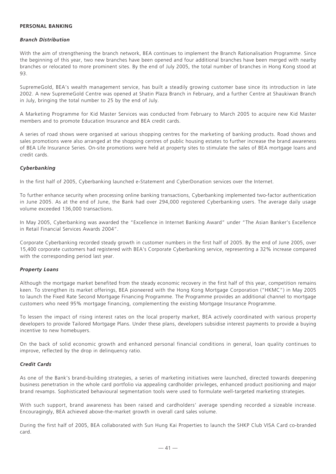## **PERSONAL BANKING**

#### *Branch Distribution*

With the aim of strengthening the branch network, BEA continues to implement the Branch Rationalisation Programme. Since the beginning of this year, two new branches have been opened and four additional branches have been merged with nearby branches or relocated to more prominent sites. By the end of July 2005, the total number of branches in Hong Kong stood at 93.

SupremeGold, BEA's wealth management service, has built a steadily growing customer base since its introduction in late 2002. A new SupremeGold Centre was opened at Shatin Plaza Branch in February, and a further Centre at Shaukiwan Branch in July, bringing the total number to 25 by the end of July.

A Marketing Programme for Kid Master Services was conducted from February to March 2005 to acquire new Kid Master members and to promote Education Insurance and BEA credit cards.

A series of road shows were organised at various shopping centres for the marketing of banking products. Road shows and sales promotions were also arranged at the shopping centres of public housing estates to further increase the brand awareness of BEA Life Insurance Series. On-site promotions were held at property sites to stimulate the sales of BEA mortgage loans and credit cards.

## *Cyberbanking*

In the first half of 2005, Cyberbanking launched e-Statement and CyberDonation services over the Internet.

To further enhance security when processing online banking transactions, Cyberbanking implemented two-factor authentication in June 2005. As at the end of June, the Bank had over 294,000 registered Cyberbanking users. The average daily usage volume exceeded 136,000 transactions.

In May 2005, Cyberbanking was awarded the "Excellence in Internet Banking Award" under "The Asian Banker's Excellence in Retail Financial Services Awards 2004".

Corporate Cyberbanking recorded steady growth in customer numbers in the first half of 2005. By the end of June 2005, over 15,400 corporate customers had registered with BEA's Corporate Cyberbanking service, representing a 32% increase compared with the corresponding period last year.

## *Property Loans*

Although the mortgage market benefited from the steady economic recovery in the first half of this year, competition remains keen. To strengthen its market offerings, BEA pioneered with the Hong Kong Mortgage Corporation ("HKMC") in May 2005 to launch the Fixed Rate Second Mortgage Financing Programme. The Programme provides an additional channel to mortgage customers who need 95% mortgage financing, complementing the existing Mortgage Insurance Programme.

To lessen the impact of rising interest rates on the local property market, BEA actively coordinated with various property developers to provide Tailored Mortgage Plans. Under these plans, developers subsidise interest payments to provide a buying incentive to new homebuyers.

On the back of solid economic growth and enhanced personal financial conditions in general, loan quality continues to improve, reflected by the drop in delinquency ratio.

## *Credit Cards*

As one of the Bank's brand-building strategies, a series of marketing initiatives were launched, directed towards deepening business penetration in the whole card portfolio via appealing cardholder privileges, enhanced product positioning and major brand revamps. Sophisticated behavioural segmentation tools were used to formulate well-targeted marketing strategies.

With such support, brand awareness has been raised and cardholders' average spending recorded a sizeable increase. Encouragingly, BEA achieved above-the-market growth in overall card sales volume.

During the first half of 2005, BEA collaborated with Sun Hung Kai Properties to launch the SHKP Club VISA Card co-branded card.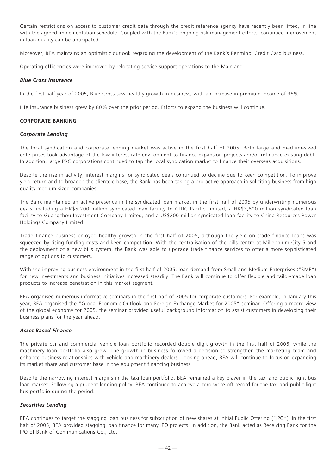Certain restrictions on access to customer credit data through the credit reference agency have recently been lifted, in line with the agreed implementation schedule. Coupled with the Bank's ongoing risk management efforts, continued improvement in loan quality can be anticipated.

Moreover, BEA maintains an optimistic outlook regarding the development of the Bank's Renminbi Credit Card business.

Operating efficiencies were improved by relocating service support operations to the Mainland.

#### *Blue Cross Insurance*

In the first half year of 2005, Blue Cross saw healthy growth in business, with an increase in premium income of 35%.

Life insurance business grew by 80% over the prior period. Efforts to expand the business will continue.

## **CORPORATE BANKING**

#### *Corporate Lending*

The local syndication and corporate lending market was active in the first half of 2005. Both large and medium-sized enterprises took advantage of the low interest rate environment to finance expansion projects and/or refinance existing debt. In addition, large PRC corporations continued to tap the local syndication market to finance their overseas acquisitions.

Despite the rise in activity, interest margins for syndicated deals continued to decline due to keen competition. To improve yield return and to broaden the clientele base, the Bank has been taking a pro-active approach in soliciting business from high quality medium-sized companies.

The Bank maintained an active presence in the syndicated loan market in the first half of 2005 by underwriting numerous deals, including a HK\$5,200 million syndicated loan facility to CITIC Pacific Limited, a HK\$3,800 million syndicated loan facility to Guangzhou Investment Company Limited, and a US\$200 million syndicated loan facility to China Resources Power Holdings Company Limited.

Trade finance business enjoyed healthy growth in the first half of 2005, although the yield on trade finance loans was squeezed by rising funding costs and keen competition. With the centralisation of the bills centre at Millennium City 5 and the deployment of a new bills system, the Bank was able to upgrade trade finance services to offer a more sophisticated range of options to customers.

With the improving business environment in the first half of 2005, loan demand from Small and Medium Enterprises ("SME") for new investments and business initiatives increased steadily. The Bank will continue to offer flexible and tailor-made loan products to increase penetration in this market segment.

BEA organised numerous informative seminars in the first half of 2005 for corporate customers. For example, in January this year, BEA organised the "Global Economic Outlook and Foreign Exchange Market for 2005" seminar. Offering a macro view of the global economy for 2005, the seminar provided useful background information to assist customers in developing their business plans for the year ahead.

# *Asset Based Finance*

The private car and commercial vehicle loan portfolio recorded double digit growth in the first half of 2005, while the machinery loan portfolio also grew. The growth in business followed a decision to strengthen the marketing team and enhance business relationships with vehicle and machinery dealers. Looking ahead, BEA will continue to focus on expanding its market share and customer base in the equipment financing business.

Despite the narrowing interest margins in the taxi loan portfolio, BEA remained a key player in the taxi and public light bus loan market. Following a prudent lending policy, BEA continued to achieve a zero write-off record for the taxi and public light bus portfolio during the period.

#### *Securities Lending*

BEA continues to target the stagging loan business for subscription of new shares at Initial Public Offering ("IPO"). In the first half of 2005, BEA provided stagging loan finance for many IPO projects. In addition, the Bank acted as Receiving Bank for the IPO of Bank of Communications Co., Ltd.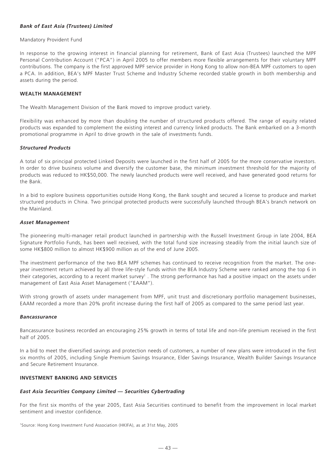## *Bank of East Asia (Trustees) Limited*

#### Mandatory Provident Fund

In response to the growing interest in financial planning for retirement, Bank of East Asia (Trustees) launched the MPF Personal Contribution Account ("PCA") in April 2005 to offer members more flexible arrangements for their voluntary MPF contributions. The company is the first approved MPF service provider in Hong Kong to allow non-BEA MPF customers to open a PCA. In addition, BEA's MPF Master Trust Scheme and Industry Scheme recorded stable growth in both membership and assets during the period.

## **WEALTH MANAGEMENT**

The Wealth Management Division of the Bank moved to improve product variety.

Flexibility was enhanced by more than doubling the number of structured products offered. The range of equity related products was expanded to complement the existing interest and currency linked products. The Bank embarked on a 3-month promotional programme in April to drive growth in the sale of investments funds.

#### *Structured Products*

A total of six principal protected Linked Deposits were launched in the first half of 2005 for the more conservative investors. In order to drive business volume and diversify the customer base, the minimum investment threshold for the majority of products was reduced to HK\$50,000. The newly launched products were well received, and have generated good returns for the Bank.

In a bid to explore business opportunities outside Hong Kong, the Bank sought and secured a license to produce and market structured products in China. Two principal protected products were successfully launched through BEA's branch network on the Mainland.

#### *Asset Management*

The pioneering multi-manager retail product launched in partnership with the Russell Investment Group in late 2004, BEA Signature Portfolio Funds, has been well received, with the total fund size increasing steadily from the initial launch size of some HK\$800 million to almost HK\$900 million as of the end of June 2005.

The investment performance of the two BEA MPF schemes has continued to receive recognition from the market. The oneyear investment return achieved by all three life-style funds within the BEA Industry Scheme were ranked among the top 6 in their categories, according to a recent market survey<sup>1</sup>. The strong performance has had a positive impact on the assets under management of East Asia Asset Management ("EAAM").

With strong growth of assets under management from MPF, unit trust and discretionary portfolio management businesses, EAAM recorded a more than 20% profit increase during the first half of 2005 as compared to the same period last year.

## *Bancassurance*

Bancassurance business recorded an encouraging 25% growth in terms of total life and non-life premium received in the first half of 2005.

In a bid to meet the diversified savings and protection needs of customers, a number of new plans were introduced in the first six months of 2005, including Single Premium Savings Insurance, Elder Savings Insurance, Wealth Builder Savings Insurance and Secure Retirement Insurance.

## **INVESTMENT BANKING AND SERVICES**

## *East Asia Securities Company Limited — Securities Cybertrading*

For the first six months of the year 2005, East Asia Securities continued to benefit from the improvement in local market sentiment and investor confidence.

1Source: Hong Kong Investment Fund Association (HKIFA), as at 31st May, 2005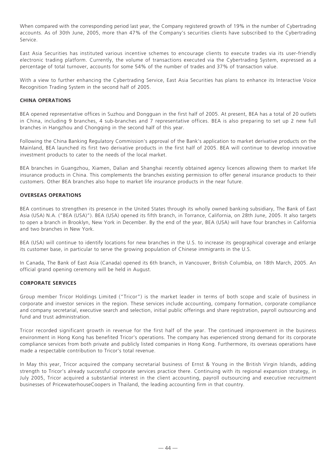When compared with the corresponding period last year, the Company registered growth of 19% in the number of Cybertrading accounts. As of 30th June, 2005, more than 47% of the Company's securities clients have subscribed to the Cybertrading Service.

East Asia Securities has instituted various incentive schemes to encourage clients to execute trades via its user-friendly electronic trading platform. Currently, the volume of transactions executed via the Cybertrading System, expressed as a percentage of total turnover, accounts for some 54% of the number of trades and 37% of transaction value.

With a view to further enhancing the Cybertrading Service, East Asia Securities has plans to enhance its Interactive Voice Recognition Trading System in the second half of 2005.

# **CHINA OPERATIONS**

BEA opened representative offices in Suzhou and Dongguan in the first half of 2005. At present, BEA has a total of 20 outlets in China, including 9 branches, 4 sub-branches and 7 representative offices. BEA is also preparing to set up 2 new full branches in Hangzhou and Chongqing in the second half of this year.

Following the China Banking Regulatory Commission's approval of the Bank's application to market derivative products on the Mainland, BEA launched its first two derivative products in the first half of 2005. BEA will continue to develop innovative investment products to cater to the needs of the local market.

BEA branches in Guangzhou, Xiamen, Dalian and Shanghai recently obtained agency licences allowing them to market life insurance products in China. This complements the branches existing permission to offer general insurance products to their customers. Other BEA branches also hope to market life insurance products in the near future.

## **OVERSEAS OPERATIONS**

BEA continues to strengthen its presence in the United States through its wholly owned banking subsidiary, The Bank of East Asia (USA) N.A. ("BEA (USA)"). BEA (USA) opened its fifth branch, in Torrance, California, on 28th June, 2005. It also targets to open a branch in Brooklyn, New York in December. By the end of the year, BEA (USA) will have four branches in California and two branches in New York.

BEA (USA) will continue to identify locations for new branches in the U.S. to increase its geographical coverage and enlarge its customer base, in particular to serve the growing population of Chinese immigrants in the U.S.

In Canada, The Bank of East Asia (Canada) opened its 6th branch, in Vancouver, British Columbia, on 18th March, 2005. An official grand opening ceremony will be held in August.

## **CORPORATE SERVICES**

Group member Tricor Holdings Limited ("Tricor") is the market leader in terms of both scope and scale of business in corporate and investor services in the region. These services include accounting, company formation, corporate compliance and company secretarial, executive search and selection, initial public offerings and share registration, payroll outsourcing and fund and trust administration.

Tricor recorded significant growth in revenue for the first half of the year. The continued improvement in the business environment in Hong Kong has benefited Tricor's operations. The company has experienced strong demand for its corporate compliance services from both private and publicly listed companies in Hong Kong. Furthermore, its overseas operations have made a respectable contribution to Tricor's total revenue.

In May this year, Tricor acquired the company secretarial business of Ernst & Young in the British Virgin Islands, adding strength to Tricor's already successful corporate services practice there. Continuing with its regional expansion strategy, in July 2005, Tricor acquired a substantial interest in the client accounting, payroll outsourcing and executive recruitment businesses of PricewaterhouseCoopers in Thailand, the leading accounting firm in that country.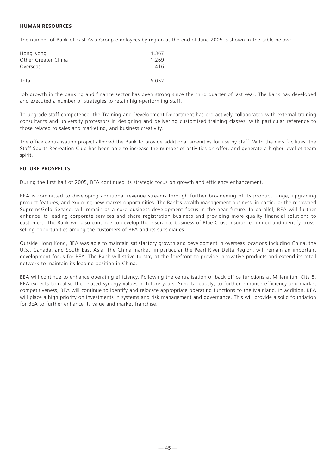# **HUMAN RESOURCES**

The number of Bank of East Asia Group employees by region at the end of June 2005 is shown in the table below:

| Hong Kong           | 4.367 |
|---------------------|-------|
| Other Greater China | 1,269 |
| Overseas            | 416   |
|                     |       |
| Total               | 6.052 |

Job growth in the banking and finance sector has been strong since the third quarter of last year. The Bank has developed and executed a number of strategies to retain high-performing staff.

To upgrade staff competence, the Training and Development Department has pro-actively collaborated with external training consultants and university professors in designing and delivering customised training classes, with particular reference to those related to sales and marketing, and business creativity.

The office centralisation project allowed the Bank to provide additional amenities for use by staff. With the new facilities, the Staff Sports Recreation Club has been able to increase the number of activities on offer, and generate a higher level of team spirit.

# **FUTURE PROSPECTS**

During the first half of 2005, BEA continued its strategic focus on growth and efficiency enhancement.

BEA is committed to developing additional revenue streams through further broadening of its product range, upgrading product features, and exploring new market opportunities. The Bank's wealth management business, in particular the renowned SupremeGold Service, will remain as a core business development focus in the near future. In parallel, BEA will further enhance its leading corporate services and share registration business and providing more quality financial solutions to customers. The Bank will also continue to develop the insurance business of Blue Cross Insurance Limited and identify crossselling opportunities among the customers of BEA and its subsidiaries.

Outside Hong Kong, BEA was able to maintain satisfactory growth and development in overseas locations including China, the U.S., Canada, and South East Asia. The China market, in particular the Pearl River Delta Region, will remain an important development focus for BEA. The Bank will strive to stay at the forefront to provide innovative products and extend its retail network to maintain its leading position in China.

BEA will continue to enhance operating efficiency. Following the centralisation of back office functions at Millennium City 5, BEA expects to realise the related synergy values in future years. Simultaneously, to further enhance efficiency and market competitiveness, BEA will continue to identify and relocate appropriate operating functions to the Mainland. In addition, BEA will place a high priority on investments in systems and risk management and governance. This will provide a solid foundation for BEA to further enhance its value and market franchise.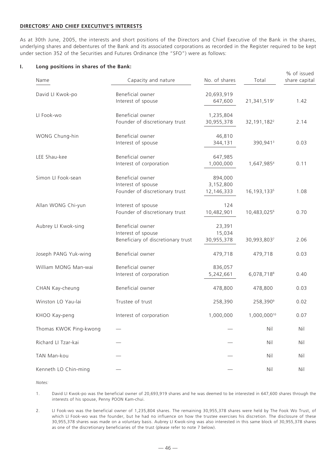## **DIRECTORS' AND CHIEF EXECUTIVE'S INTERESTS**

As at 30th June, 2005, the interests and short positions of the Directors and Chief Executive of the Bank in the shares, underlying shares and debentures of the Bank and its associated corporations as recorded in the Register required to be kept under section 352 of the Securities and Futures Ordinance (the "SFO") were as follows:

#### **I. Long positions in shares of the Bank:**

| Name                   | Capacity and nature                                                          | No. of shares                      | Total                     | % of issued<br>share capital |
|------------------------|------------------------------------------------------------------------------|------------------------------------|---------------------------|------------------------------|
| David LI Kwok-po       | Beneficial owner<br>Interest of spouse                                       | 20,693,919<br>647,600              | 21,341,5191               | 1.42                         |
| LI Fook-wo             | Beneficial owner<br>Founder of discretionary trust                           | 1,235,804<br>30,955,378            | 32, 191, 182 <sup>2</sup> | 2.14                         |
| WONG Chung-hin         | Beneficial owner<br>Interest of spouse                                       | 46,810<br>344,131                  | 390,941 <sup>3</sup>      | 0.03                         |
| LEE Shau-kee           | Beneficial owner<br>Interest of corporation                                  | 647,985<br>1,000,000               | 1,647,9854                | 0.11                         |
| Simon LI Fook-sean     | Beneficial owner<br>Interest of spouse<br>Founder of discretionary trust     | 894,000<br>3,152,800<br>12,146,333 | 16, 193, 133 <sup>5</sup> | 1.08                         |
| Allan WONG Chi-yun     | Interest of spouse<br>Founder of discretionary trust                         | 124<br>10,482,901                  | 10,483,0256               | 0.70                         |
| Aubrey LI Kwok-sing    | Beneficial owner<br>Interest of spouse<br>Beneficiary of discretionary trust | 23,391<br>15,034<br>30,955,378     | 30,993,8037               | 2.06                         |
| Joseph PANG Yuk-wing   | Beneficial owner                                                             | 479,718                            | 479,718                   | 0.03                         |
| William MONG Man-wai   | Beneficial owner<br>Interest of corporation                                  | 836,057<br>5,242,661               | 6,078,718 <sup>8</sup>    | 0.40                         |
| CHAN Kay-cheung        | Beneficial owner                                                             | 478,800                            | 478,800                   | 0.03                         |
| Winston LO Yau-lai     | Trustee of trust                                                             | 258,390                            | 258,390 <sup>9</sup>      | 0.02                         |
| KHOO Kay-peng          | Interest of corporation                                                      | 1,000,000                          | 1,000,00010               | 0.07                         |
| Thomas KWOK Ping-kwong |                                                                              |                                    | Nil                       | Nil                          |
| Richard LI Tzar-kai    |                                                                              |                                    | Nil                       | Nil                          |
| TAN Man-kou            |                                                                              |                                    | Nil                       | Nil                          |
| Kenneth LO Chin-ming   |                                                                              |                                    | Nil                       | Nil                          |

*Notes:*

1. David LI Kwok-po was the beneficial owner of 20,693,919 shares and he was deemed to be interested in 647,600 shares through the interests of his spouse, Penny POON Kam-chui.

2. LI Fook-wo was the beneficial owner of 1,235,804 shares. The remaining 30,955,378 shares were held by The Fook Wo Trust, of which LI Fook-wo was the founder, but he had no influence on how the trustee exercises his discretion. The disclosure of these 30,955,378 shares was made on a voluntary basis. Aubrey LI Kwok-sing was also interested in this same block of 30,955,378 shares as one of the discretionary beneficiaries of the trust (please refer to note 7 below).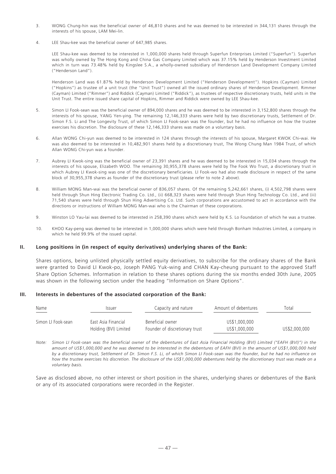- 3. WONG Chung-hin was the beneficial owner of 46,810 shares and he was deemed to be interested in 344,131 shares through the interests of his spouse, LAM Mei-lin.
- 4. LEE Shau-kee was the beneficial owner of 647,985 shares.

LEE Shau-kee was deemed to be interested in 1,000,000 shares held through Superfun Enterprises Limited ("Superfun"). Superfun was wholly owned by The Hong Kong and China Gas Company Limited which was 37.15% held by Henderson Investment Limited which in turn was 73.48% held by Kingslee S.A., a wholly-owned subsidiary of Henderson Land Development Company Limited ("Henderson Land").

Henderson Land was 61.87% held by Henderson Development Limited ("Henderson Development"). Hopkins (Cayman) Limited ("Hopkins") as trustee of a unit trust (the "Unit Trust") owned all the issued ordinary shares of Henderson Development. Rimmer (Cayman) Limited ("Rimmer") and Riddick (Cayman) Limited ("Riddick"), as trustees of respective discretionary trusts, held units in the Unit Trust. The entire issued share capital of Hopkins, Rimmer and Riddick were owned by LEE Shau-kee.

- 5. Simon LI Fook-sean was the beneficial owner of 894,000 shares and he was deemed to be interested in 3,152,800 shares through the interests of his spouse, YANG Yen-ying. The remaining 12,146,333 shares were held by two discretionary trusts, Settlement of Dr. Simon F.S. Li and The Longevity Trust, of which Simon LI Fook-sean was the founder, but he had no influence on how the trustee exercises his discretion. The disclosure of these 12,146,333 shares was made on a voluntary basis.
- 6. Allan WONG Chi-yun was deemed to be interested in 124 shares through the interests of his spouse, Margaret KWOK Chi-wai. He was also deemed to be interested in 10,482,901 shares held by a discretionary trust, The Wong Chung Man 1984 Trust, of which Allan WONG Chi-yun was a founder.
- 7. Aubrey LI Kwok-sing was the beneficial owner of 23,391 shares and he was deemed to be interested in 15,034 shares through the interests of his spouse, Elizabeth WOO. The remaining 30,955,378 shares were held by The Fook Wo Trust, a discretionary trust in which Aubrey LI Kwok-sing was one of the discretionary beneficiaries. LI Fook-wo had also made disclosure in respect of the same block of 30,955,378 shares as founder of the discretionary trust (please refer to note 2 above).
- 8. William MONG Man-wai was the beneficial owner of 836,057 shares. Of the remaining 5,242,661 shares, (i) 4,502,798 shares were held through Shun Hing Electronic Trading Co. Ltd., (ii) 668,323 shares were held through Shun Hing Technology Co. Ltd., and (iii) 71,540 shares were held through Shun Hing Advertising Co. Ltd. Such corporations are accustomed to act in accordance with the directions or instructions of William MONG Man-wai who is the Chairman of these corporations.
- 9. Winston LO Yau-lai was deemed to be interested in 258,390 shares which were held by K.S. Lo Foundation of which he was a trustee.
- 10. KHOO Kay-peng was deemed to be interested in 1,000,000 shares which were held through Bonham Industries Limited, a company in which he held 99.9% of the issued capital.

#### **II. Long positions in (in respect of equity derivatives) underlying shares of the Bank:**

Shares options, being unlisted physically settled equity derivatives, to subscribe for the ordinary shares of the Bank were granted to David LI Kwok-po, Joseph PANG Yuk-wing and CHAN Kay-cheung pursuant to the approved Staff Share Option Schemes. Information in relation to these shares options during the six months ended 30th June, 2005 was shown in the following section under the heading "Information on Share Options".

## **III. Interests in debentures of the associated corporation of the Bank:**

| Name<br>$\sim$     | Issuer                | Capacity and nature            | Amount of debentures | Total         |
|--------------------|-----------------------|--------------------------------|----------------------|---------------|
| Simon LI Fook-sean | East Asia Financial   | Beneficial owner               | US\$1,000,000        |               |
|                    | Holding (BVI) Limited | Founder of discretionary trust | US\$1,000,000        | US\$2,000,000 |

*Note: Simon LI Fook-sean was the beneficial owner of the debentures of East Asia Financial Holding (BVI) Limited ("EAFH (BVI)") in the amount of US\$1,000,000 and he was deemed to be interested in the debentures of EAFH (BVI) in the amount of US\$1,000,000 held by a discretionary trust, Settlement of Dr. Simon F.S. Li, of which Simon LI Fook-sean was the founder, but he had no influence on how the trustee exercises his discretion. The disclosure of the US\$1,000,000 debentures held by the discretionary trust was made on a voluntary basis.*

Save as disclosed above, no other interest or short position in the shares, underlying shares or debentures of the Bank or any of its associated corporations were recorded in the Register.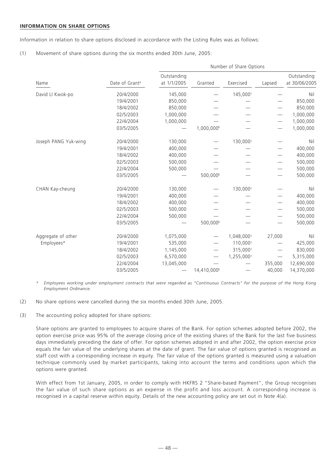## **INFORMATION ON SHARE OPTIONS**

Information in relation to share options disclosed in accordance with the Listing Rules was as follows:

(1) Movement of share options during the six months ended 30th June, 2005:

|                      |                            | Number of Share Options    |                         |                      |         |                              |  |
|----------------------|----------------------------|----------------------------|-------------------------|----------------------|---------|------------------------------|--|
| Name                 | Date of Grant <sup>a</sup> | Outstanding<br>at 1/1/2005 | Granted                 | Exercised            | Lapsed  | Outstanding<br>at 30/06/2005 |  |
| David LI Kwok-po     | 20/4/2000                  | 145,000                    |                         | 145,000 <sup>c</sup> |         | Nil                          |  |
|                      | 19/4/2001                  | 850,000                    |                         |                      |         | 850,000                      |  |
|                      | 18/4/2002                  | 850,000                    |                         |                      |         | 850,000                      |  |
|                      | 02/5/2003                  | 1,000,000                  |                         |                      |         | 1,000,000                    |  |
|                      | 22/4/2004                  | 1,000,000                  |                         |                      |         | 1,000,000                    |  |
|                      | 03/5/2005                  |                            | 1,000,000 <sup>b</sup>  |                      |         | 1,000,000                    |  |
| Joseph PANG Yuk-wing | 20/4/2000                  | 130,000                    |                         | 130,000c             |         | Nil                          |  |
|                      | 19/4/2001                  | 400,000                    |                         |                      |         | 400,000                      |  |
|                      | 18/4/2002                  | 400,000                    |                         |                      |         | 400,000                      |  |
|                      | 02/5/2003                  | 500,000                    |                         |                      |         | 500,000                      |  |
|                      | 22/4/2004                  | 500,000                    |                         |                      |         | 500,000                      |  |
|                      | 03/5/2005                  |                            | 500,000 <sup>b</sup>    |                      |         | 500,000                      |  |
| CHAN Kay-cheung      | 20/4/2000                  | 130,000                    |                         | 130,000c             |         | Nil                          |  |
|                      | 19/4/2001                  | 400,000                    |                         |                      |         | 400,000                      |  |
|                      | 18/4/2002                  | 400,000                    |                         |                      |         | 400,000                      |  |
|                      | 02/5/2003                  | 500,000                    |                         |                      |         | 500,000                      |  |
|                      | 22/4/2004                  | 500,000                    |                         |                      |         | 500,000                      |  |
|                      | 03/5/2005                  |                            | 500,000 <sup>b</sup>    |                      |         | 500,000                      |  |
| Aggregate of other   | 20/4/2000                  | 1,075,000                  |                         | 1,048,000            | 27,000  | Nil                          |  |
| Employees*           | 19/4/2001                  | 535,000                    |                         | 110,000 <sup>c</sup> |         | 425,000                      |  |
|                      | 18/4/2002                  | 1,145,000                  |                         | 315,000 <sup>c</sup> |         | 830,000                      |  |
|                      | 02/5/2003                  | 6,570,000                  |                         | 1,255,000c           |         | 5,315,000                    |  |
|                      | 22/4/2004                  | 13,045,000                 |                         |                      | 355,000 | 12,690,000                   |  |
|                      | 03/5/2005                  |                            | 14,410,000 <sup>b</sup> |                      | 40,000  | 14,370,000                   |  |

*\* Employees working under employment contracts that were regarded as "Continuous Contracts" for the purpose of the Hong Kong Employment Ordinance.*

- (2) No share options were cancelled during the six months ended 30th June, 2005.
- (3) The accounting policy adopted for share options:

Share options are granted to employees to acquire shares of the Bank. For option schemes adopted before 2002, the option exercise price was 95% of the average closing price of the existing shares of the Bank for the last five business days immediately preceding the date of offer. For option schemes adopted in and after 2002, the option exercise price equals the fair value of the underlying shares at the date of grant. The fair value of options granted is recognised as staff cost with a corresponding increase in equity. The fair value of the options granted is measured using a valuation technique commonly used by market participants, taking into account the terms and conditions upon which the options were granted.

With effect from 1st January, 2005, in order to comply with HKFRS 2 "Share-based Payment", the Group recognises the fair value of such share options as an expense in the profit and loss account. A corresponding increase is recognised in a capital reserve within equity. Details of the new accounting policy are set out in Note 4(a).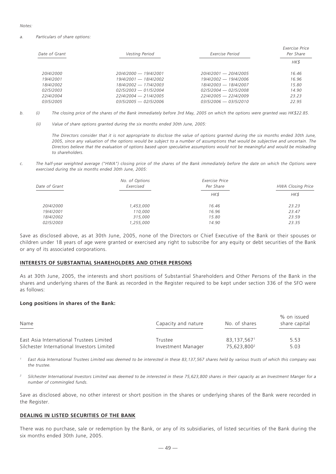#### *Notes:*

#### *a. Particulars of share options:*

| Date of Grant | Vesting Period          | Exercise Period         | Exercise Price<br>Per Share |
|---------------|-------------------------|-------------------------|-----------------------------|
|               |                         |                         | HK\$                        |
| 20/4/2000     | 20/4/2000 - 19/4/2001   | $20/4/2001 - 20/4/2005$ | 16.46                       |
| 19/4/2001     | 19/4/2001 - 18/4/2002   | $19/4/2002 - 19/4/2006$ | 16.96                       |
| 18/4/2002     | 18/4/2002 - 17/4/2003   | 18/4/2003 - 18/4/2007   | 15.80                       |
| 02/5/2003     | $02/5/2003 - 01/5/2004$ | $02/5/2004 - 02/5/2008$ | 14.90                       |
| 22/4/2004     | 22/4/2004 - 21/4/2005   | $22/4/2005 - 22/4/2009$ | 23.23                       |
| 03/5/2005     | $03/5/2005 - 02/5/2006$ | $03/5/2006 - 03/5/2010$ | 22.95                       |
|               |                         |                         |                             |

- *b. (i) The closing price of the shares of the Bank immediately before 3rd May, 2005 on which the options were granted was HK\$22.85.*
	- *(ii) Value of share options granted during the six months ended 30th June, 2005:*

*The Directors consider that it is not appropriate to disclose the value of options granted during the six months ended 30th June, 2005, since any valuation of the options would be subject to a number of assumptions that would be subjective and uncertain. The Directors believe that the evaluation of options based upon speculative assumptions would not be meaningful and would be misleading to shareholders.*

*c. The half-year weighted average ("HWA") closing price of the shares of the Bank immediately before the date on which the Options were exercised during the six months ended 30th June, 2005:*

| No. of Options<br>Exercised | Exercise Price<br>Per Share | <b>HWA Closing Price</b> |
|-----------------------------|-----------------------------|--------------------------|
|                             | HK\$                        | HK\$                     |
| 1,453,000                   | 16.46                       | 23.23                    |
| 110,000                     | 16.96                       | 23.47                    |
| 315,000                     | 15.80                       | 23.59                    |
| 1,255,000                   | 14.90                       | 23.35                    |
|                             |                             |                          |

Save as disclosed above, as at 30th June, 2005, none of the Directors or Chief Executive of the Bank or their spouses or children under 18 years of age were granted or exercised any right to subscribe for any equity or debt securities of the Bank or any of its associated corporations.

#### **INTERESTS OF SUBSTANTIAL SHAREHOLDERS AND OTHER PERSONS**

As at 30th June, 2005, the interests and short positions of Substantial Shareholders and Other Persons of the Bank in the shares and underlying shares of the Bank as recorded in the Register required to be kept under section 336 of the SFO were as follows:

#### **Long positions in shares of the Bank:**

| Name                                       | Capacity and nature | No. of shares           | % on issued<br>share capital |
|--------------------------------------------|---------------------|-------------------------|------------------------------|
| East Asia International Trustees Limited   | Trustee             | 83.137.5671             | 5.53                         |
| Silchester International Investors Limited | Investment Manager  | 75.623.800 <sup>2</sup> | 5.03                         |

*<sup>1</sup> East Asia International Trustees Limited was deemed to be interested in these 83,137,567 shares held by various trusts of which this company was the trustee.*

*<sup>2</sup> Silchester International Investors Limited was deemed to be interested in these 75,623,800 shares in their capacity as an Investment Manger for a number of commingled funds.*

Save as disclosed above, no other interest or short position in the shares or underlying shares of the Bank were recorded in the Register.

## **DEALING IN LISTED SECURITIES OF THE BANK**

There was no purchase, sale or redemption by the Bank, or any of its subsidiaries, of listed securities of the Bank during the six months ended 30th June, 2005.